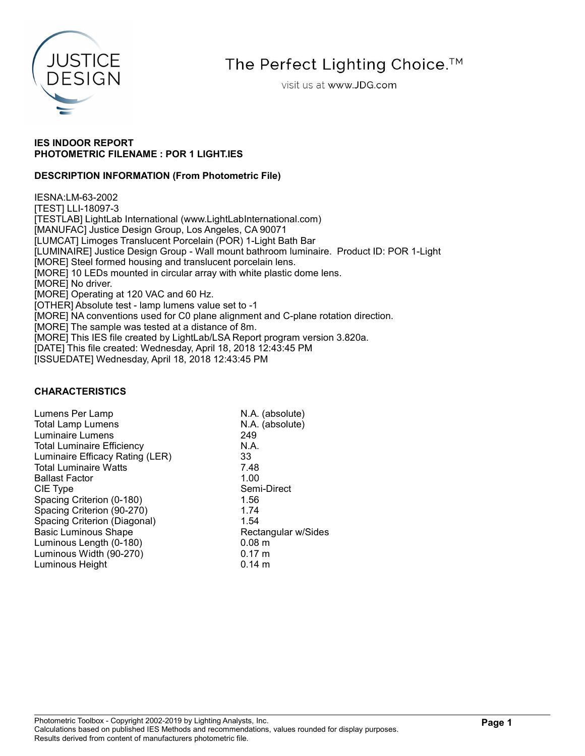

The Perfect Lighting Choice.<sup>™</sup>

visit us at www.JDG.com

### IES INDOOR REPORT PHOTOMETRIC FILENAME : POR 1 LIGHT.IES

### DESCRIPTION INFORMATION (From Photometric File)

IESNA:LM-63-2002 [TEST] LLI-18097-3 [TESTLAB] LightLab International (www.LightLabInternational.com) [MANUFAC] Justice Design Group, Los Angeles, CA 90071 [LUMCAT] Limoges Translucent Porcelain (POR) 1-Light Bath Bar [LUMINAIRE] Justice Design Group - Wall mount bathroom luminaire. Product ID: POR 1-Light [MORE] Steel formed housing and translucent porcelain lens. [MORE] 10 LEDs mounted in circular array with white plastic dome lens. [MORE] No driver. [MORE] Operating at 120 VAC and 60 Hz. [OTHER] Absolute test - lamp lumens value set to -1 [MORE] NA conventions used for C0 plane alignment and C-plane rotation direction. [MORE] The sample was tested at a distance of 8m. [MORE] This IES file created by LightLab/LSA Report program version 3.820a. [DATE] This file created: Wednesday, April 18, 2018 12:43:45 PM [ISSUEDATE] Wednesday, April 18, 2018 12:43:45 PM

### CHARACTERISTICS

| Lumens Per Lamp                   | N.A. (absolute)     |
|-----------------------------------|---------------------|
| <b>Total Lamp Lumens</b>          | N.A. (absolute)     |
| <b>Luminaire Lumens</b>           | 249                 |
| <b>Total Luminaire Efficiency</b> | N.A.                |
| Luminaire Efficacy Rating (LER)   | 33                  |
| <b>Total Luminaire Watts</b>      | 7.48                |
| <b>Ballast Factor</b>             | 1.00                |
| CIE Type                          | Semi-Direct         |
| Spacing Criterion (0-180)         | 1.56                |
| Spacing Criterion (90-270)        | 1.74                |
| Spacing Criterion (Diagonal)      | 1.54                |
| <b>Basic Luminous Shape</b>       | Rectangular w/Sides |
| Luminous Length (0-180)           | 0.08 m              |
| Luminous Width (90-270)           | $0.17 \; m$         |
| Luminous Height                   | $0.14 \; m$         |
|                                   |                     |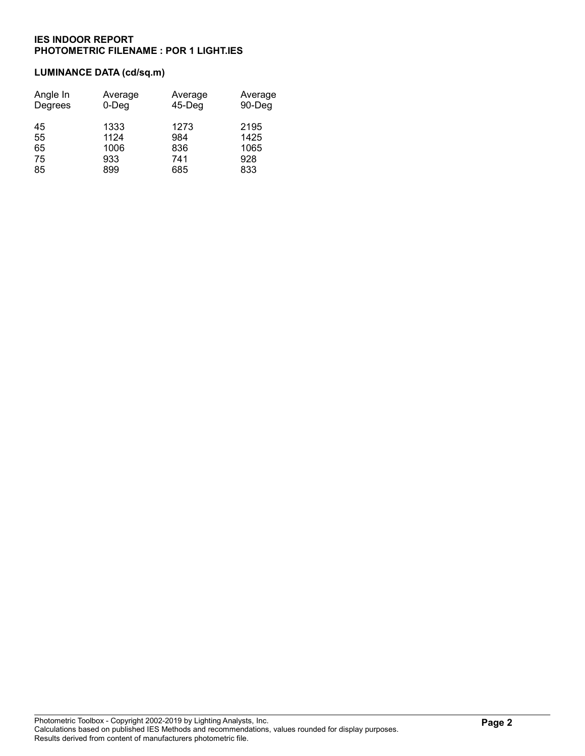# LUMINANCE DATA (cd/sq.m)

| Angle In | Average  | Average   | Average |
|----------|----------|-----------|---------|
| Degrees  | $0$ -Deg | $45$ -Deg | 90-Deg  |
| 45       | 1333     | 1273      | 2195    |
| 55       | 1124     | 984       | 1425    |
| 65       | 1006     | 836       | 1065    |
| 75       | 933      | 741       | 928     |
| 85       | 899      | 685       | 833     |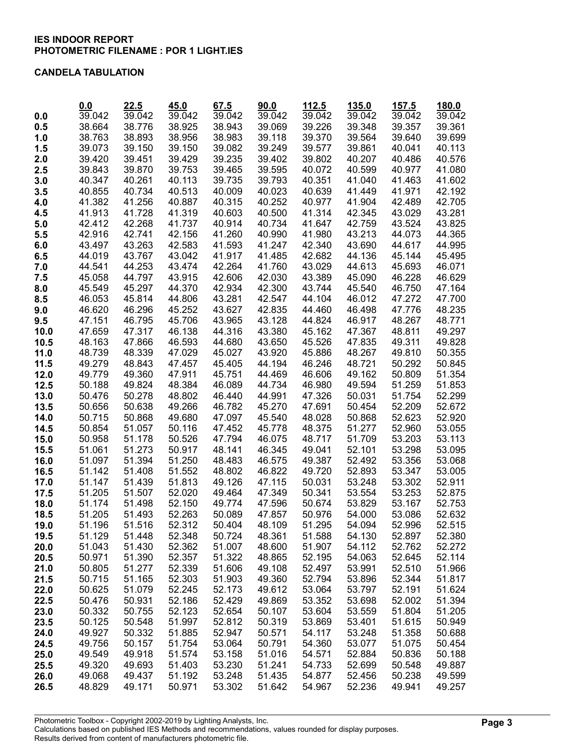#### CANDELA TABULATION

| 0.0<br>38.664<br>38.925<br>38.943<br>39.348<br>39.361<br>0.5<br>38.776<br>39.069<br>39.226<br>39.357<br>38.893<br>38.983<br>39.370<br>39.564<br>38.763<br>38.956<br>39.118<br>39.640<br>39.699<br>1.0<br>39.150<br>39.861<br>40.113<br>39.073<br>39.150<br>39.082<br>39.249<br>39.577<br>40.041<br>1.5<br>2.0<br>39.420<br>39.451<br>39.429<br>39.235<br>39.402<br>39.802<br>40.207<br>40.486<br>40.576<br>2.5<br>39.843<br>39.870<br>39.753<br>39.465<br>39.595<br>40.072<br>40.599<br>40.977<br>41.080<br>40.261<br>3.0<br>40.347<br>40.113<br>39.735<br>39.793<br>40.351<br>41.040<br>41.463<br>41.602<br>40.855<br>40.734<br>40.513<br>40.639<br>41.449<br>41.971<br>42.192<br>3.5<br>40.009<br>40.023<br>41.382<br>41.256<br>40.887<br>40.315<br>40.252<br>40.977<br>41.904<br>42.489<br>42.705<br>4.0<br>42.345<br>43.029<br>43.281<br>4.5<br>41.913<br>41.728<br>41.319<br>40.603<br>40.500<br>41.314<br>42.268<br>5.0<br>42.412<br>41.737<br>40.914<br>40.734<br>41.647<br>42.759<br>43.524<br>43.825<br>43.213<br>44.365<br>42.916<br>42.741<br>42.156<br>41.260<br>40.990<br>41.980<br>44.073<br>5.5<br>6.0<br>43.497<br>43.263<br>42.583<br>41.593<br>41.247<br>42.340<br>43.690<br>44.617<br>44.995<br>44.019<br>43.767<br>43.042<br>41.917<br>42.682<br>45.144<br>6.5<br>41.485<br>44.136<br>45.495<br>7.0<br>44.541<br>44.253<br>43.474<br>42.264<br>41.760<br>43.029<br>44.613<br>45.693<br>46.071<br>45.058<br>44.797<br>43.915<br>42.606<br>42.030<br>43.389<br>45.090<br>46.228<br>46.629<br>7.5<br>8.0<br>45.549<br>45.297<br>44.370<br>42.934<br>42.300<br>43.744<br>45.540<br>46.750<br>47.164<br>8.5<br>46.053<br>45.814<br>44.806<br>43.281<br>42.547<br>44.104<br>46.012<br>47.272<br>47.700<br>46.620<br>46.296<br>45.252<br>43.627<br>48.235<br>9.0<br>42.835<br>44.460<br>46.498<br>47.776<br>46.795<br>9.5<br>47.151<br>45.706<br>43.965<br>43.128<br>44.824<br>46.917<br>48.267<br>48.771<br>47.659<br>47.317<br>46.138<br>44.316<br>43.380<br>45.162<br>47.367<br>48.811<br>49.297<br>10.0<br>48.163<br>47.866<br>46.593<br>44.680<br>43.650<br>45.526<br>47.835<br>49.311<br>49.828<br>10.5<br>48.339<br>48.267<br>50.355<br>11.0<br>48.739<br>47.029<br>45.027<br>43.920<br>45.886<br>49.810<br>11.5<br>49.279<br>48.843<br>47.457<br>45.405<br>44.194<br>46.246<br>48.721<br>50.292<br>50.845<br>49.779<br>49.360<br>47.911<br>45.751<br>46.606<br>49.162<br>50.809<br>51.354<br>12.0<br>44.469<br>12.5<br>50.188<br>49.824<br>48.384<br>46.089<br>46.980<br>49.594<br>51.259<br>51.853<br>44.734<br>13.0<br>50.476<br>52.299<br>50.278<br>48.802<br>46.440<br>44.991<br>47.326<br>50.031<br>51.754<br>49.266<br>45.270<br>50.454<br>13.5<br>50.656<br>50.638<br>46.782<br>47.691<br>52.209<br>52.672<br>52.920<br>50.715<br>50.868<br>49.680<br>47.097<br>45.540<br>48.028<br>50.868<br>52.623<br>14.0<br>51.277<br>50.854<br>51.057<br>50.116<br>47.452<br>48.375<br>52.960<br>53.055<br>14.5<br>45.778<br>50.958<br>51.178<br>50.526<br>47.794<br>46.075<br>48.717<br>51.709<br>53.203<br>53.113<br>15.0<br>51.061<br>51.273<br>50.917<br>48.141<br>46.345<br>49.041<br>52.101<br>53.298<br>53.095<br>15.5<br>51.097<br>51.394<br>51.250<br>49.387<br>52.492<br>53.356<br>53.068<br>16.0<br>48.483<br>46.575<br>51.142<br>51.408<br>51.552<br>48.802<br>46.822<br>49.720<br>52.893<br>53.347<br>53.005<br>16.5<br>53.248<br>51.147<br>51.439<br>51.813<br>49.126<br>47.115<br>50.031<br>53.302<br>52.911<br>17.0<br>53.554<br>53.253<br>52.875<br>51.205<br>51.507<br>52.020<br>49.464<br>47.349<br>50.341<br>17.5<br>52.150<br>52.753<br>51.174<br>51.498<br>49.774<br>47.596<br>50.674<br>53.829<br>53.167<br>18.0<br>51.205<br>51.493<br>52.263<br>50.089<br>47.857<br>50.976<br>54.000<br>53.086<br>52.632<br>18.5<br>52.996<br>52.515<br>51.196<br>51.516<br>52.312<br>50.404<br>48.109<br>51.295<br>54.094<br>19.0<br>52.380<br>51.129<br>51.448<br>52.348<br>50.724<br>48.361<br>51.588<br>54.130<br>52.897<br>19.5<br>20.0<br>51.043<br>51.430<br>52.362<br>51.007<br>48.600<br>51.907<br>54.112<br>52.762<br>52.272<br>52.114<br>50.971<br>51.390<br>52.357<br>51.322<br>48.865<br>52.195<br>54.063<br>52.645<br>20.5<br>52.339<br>51.606<br>51.966<br>21.0<br>50.805<br>51.277<br>49.108<br>52.497<br>53.991<br>52.510<br>50.715<br>51.165<br>52.303<br>51.903<br>49.360<br>52.794<br>53.896<br>52.344<br>51.817<br>21.5<br>51.079<br>52.245<br>52.173<br>52.191<br>51.624<br>22.0<br>50.625<br>49.612<br>53.064<br>53.797<br>50.931<br>52.186<br>52.429<br>53.352<br>53.698<br>52.002<br>51.394<br>22.5<br>50.476<br>49.869<br>51.205<br>23.0<br>50.332<br>50.755<br>52.123<br>52.654<br>50.107<br>53.604<br>53.559<br>51.804<br>51.997<br>53.401<br>51.615<br>50.949<br>23.5<br>50.125<br>50.548<br>52.812<br>50.319<br>53.869<br>24.0<br>49.927<br>50.332<br>51.885<br>52.947<br>50.571<br>54.117<br>53.248<br>51.358<br>50.688<br>49.756<br>50.157<br>51.754<br>53.064<br>50.791<br>54.360<br>53.077<br>51.075<br>50.454<br>24.5<br>49.549<br>49.918<br>51.574<br>53.158<br>51.016<br>54.571<br>52.884<br>50.836<br>50.188<br>25.0<br>49.320<br>49.693<br>51.403<br>50.548<br>25.5<br>53.230<br>51.241<br>54.733<br>52.699<br>49.887<br>26.0<br>49.068<br>49.437<br>51.192<br>53.248<br>51.435<br>54.877<br>52.456<br>50.238<br>49.599<br>52.236<br>48.829<br>49.171<br>50.971<br>53.302<br>51.642<br>54.967<br>49.941<br>49.257<br>26.5 | 0.0    | 22.5   | 45.0   | 67.5   | 90.0   | 112.5  | 135.0  | 157.5  | 180.0  |
|--------------------------------------------------------------------------------------------------------------------------------------------------------------------------------------------------------------------------------------------------------------------------------------------------------------------------------------------------------------------------------------------------------------------------------------------------------------------------------------------------------------------------------------------------------------------------------------------------------------------------------------------------------------------------------------------------------------------------------------------------------------------------------------------------------------------------------------------------------------------------------------------------------------------------------------------------------------------------------------------------------------------------------------------------------------------------------------------------------------------------------------------------------------------------------------------------------------------------------------------------------------------------------------------------------------------------------------------------------------------------------------------------------------------------------------------------------------------------------------------------------------------------------------------------------------------------------------------------------------------------------------------------------------------------------------------------------------------------------------------------------------------------------------------------------------------------------------------------------------------------------------------------------------------------------------------------------------------------------------------------------------------------------------------------------------------------------------------------------------------------------------------------------------------------------------------------------------------------------------------------------------------------------------------------------------------------------------------------------------------------------------------------------------------------------------------------------------------------------------------------------------------------------------------------------------------------------------------------------------------------------------------------------------------------------------------------------------------------------------------------------------------------------------------------------------------------------------------------------------------------------------------------------------------------------------------------------------------------------------------------------------------------------------------------------------------------------------------------------------------------------------------------------------------------------------------------------------------------------------------------------------------------------------------------------------------------------------------------------------------------------------------------------------------------------------------------------------------------------------------------------------------------------------------------------------------------------------------------------------------------------------------------------------------------------------------------------------------------------------------------------------------------------------------------------------------------------------------------------------------------------------------------------------------------------------------------------------------------------------------------------------------------------------------------------------------------------------------------------------------------------------------------------------------------------------------------------------------------------------------------------------------------------------------------------------------------------------------------------------------------------------------------------------------------------------------------------------------------------------------------------------------------------------------------------------------------------------------------------------------------------------------------------------------------------------------------------------------------------------------------------------------------------------------------------------------------------------------------------------------------------------------------------------------------------------------------------------------------------------------------------------------------------------------------------------------------------------------------------------------------------------------------------------------------------------------------------------------------------------------------------------------------------------------------------------------------------------------------------------------------------------------|--------|--------|--------|--------|--------|--------|--------|--------|--------|
|                                                                                                                                                                                                                                                                                                                                                                                                                                                                                                                                                                                                                                                                                                                                                                                                                                                                                                                                                                                                                                                                                                                                                                                                                                                                                                                                                                                                                                                                                                                                                                                                                                                                                                                                                                                                                                                                                                                                                                                                                                                                                                                                                                                                                                                                                                                                                                                                                                                                                                                                                                                                                                                                                                                                                                                                                                                                                                                                                                                                                                                                                                                                                                                                                                                                                                                                                                                                                                                                                                                                                                                                                                                                                                                                                                                                                                                                                                                                                                                                                                                                                                                                                                                                                                                                                                                                                                                                                                                                                                                                                                                                                                                                                                                                                                                                                                                                                                                                                                                                                                                                                                                                                                                                                                                                                                                                                                                            | 39.042 | 39.042 | 39.042 | 39.042 | 39.042 | 39.042 | 39.042 | 39.042 | 39.042 |
|                                                                                                                                                                                                                                                                                                                                                                                                                                                                                                                                                                                                                                                                                                                                                                                                                                                                                                                                                                                                                                                                                                                                                                                                                                                                                                                                                                                                                                                                                                                                                                                                                                                                                                                                                                                                                                                                                                                                                                                                                                                                                                                                                                                                                                                                                                                                                                                                                                                                                                                                                                                                                                                                                                                                                                                                                                                                                                                                                                                                                                                                                                                                                                                                                                                                                                                                                                                                                                                                                                                                                                                                                                                                                                                                                                                                                                                                                                                                                                                                                                                                                                                                                                                                                                                                                                                                                                                                                                                                                                                                                                                                                                                                                                                                                                                                                                                                                                                                                                                                                                                                                                                                                                                                                                                                                                                                                                                            |        |        |        |        |        |        |        |        |        |
|                                                                                                                                                                                                                                                                                                                                                                                                                                                                                                                                                                                                                                                                                                                                                                                                                                                                                                                                                                                                                                                                                                                                                                                                                                                                                                                                                                                                                                                                                                                                                                                                                                                                                                                                                                                                                                                                                                                                                                                                                                                                                                                                                                                                                                                                                                                                                                                                                                                                                                                                                                                                                                                                                                                                                                                                                                                                                                                                                                                                                                                                                                                                                                                                                                                                                                                                                                                                                                                                                                                                                                                                                                                                                                                                                                                                                                                                                                                                                                                                                                                                                                                                                                                                                                                                                                                                                                                                                                                                                                                                                                                                                                                                                                                                                                                                                                                                                                                                                                                                                                                                                                                                                                                                                                                                                                                                                                                            |        |        |        |        |        |        |        |        |        |
|                                                                                                                                                                                                                                                                                                                                                                                                                                                                                                                                                                                                                                                                                                                                                                                                                                                                                                                                                                                                                                                                                                                                                                                                                                                                                                                                                                                                                                                                                                                                                                                                                                                                                                                                                                                                                                                                                                                                                                                                                                                                                                                                                                                                                                                                                                                                                                                                                                                                                                                                                                                                                                                                                                                                                                                                                                                                                                                                                                                                                                                                                                                                                                                                                                                                                                                                                                                                                                                                                                                                                                                                                                                                                                                                                                                                                                                                                                                                                                                                                                                                                                                                                                                                                                                                                                                                                                                                                                                                                                                                                                                                                                                                                                                                                                                                                                                                                                                                                                                                                                                                                                                                                                                                                                                                                                                                                                                            |        |        |        |        |        |        |        |        |        |
|                                                                                                                                                                                                                                                                                                                                                                                                                                                                                                                                                                                                                                                                                                                                                                                                                                                                                                                                                                                                                                                                                                                                                                                                                                                                                                                                                                                                                                                                                                                                                                                                                                                                                                                                                                                                                                                                                                                                                                                                                                                                                                                                                                                                                                                                                                                                                                                                                                                                                                                                                                                                                                                                                                                                                                                                                                                                                                                                                                                                                                                                                                                                                                                                                                                                                                                                                                                                                                                                                                                                                                                                                                                                                                                                                                                                                                                                                                                                                                                                                                                                                                                                                                                                                                                                                                                                                                                                                                                                                                                                                                                                                                                                                                                                                                                                                                                                                                                                                                                                                                                                                                                                                                                                                                                                                                                                                                                            |        |        |        |        |        |        |        |        |        |
|                                                                                                                                                                                                                                                                                                                                                                                                                                                                                                                                                                                                                                                                                                                                                                                                                                                                                                                                                                                                                                                                                                                                                                                                                                                                                                                                                                                                                                                                                                                                                                                                                                                                                                                                                                                                                                                                                                                                                                                                                                                                                                                                                                                                                                                                                                                                                                                                                                                                                                                                                                                                                                                                                                                                                                                                                                                                                                                                                                                                                                                                                                                                                                                                                                                                                                                                                                                                                                                                                                                                                                                                                                                                                                                                                                                                                                                                                                                                                                                                                                                                                                                                                                                                                                                                                                                                                                                                                                                                                                                                                                                                                                                                                                                                                                                                                                                                                                                                                                                                                                                                                                                                                                                                                                                                                                                                                                                            |        |        |        |        |        |        |        |        |        |
|                                                                                                                                                                                                                                                                                                                                                                                                                                                                                                                                                                                                                                                                                                                                                                                                                                                                                                                                                                                                                                                                                                                                                                                                                                                                                                                                                                                                                                                                                                                                                                                                                                                                                                                                                                                                                                                                                                                                                                                                                                                                                                                                                                                                                                                                                                                                                                                                                                                                                                                                                                                                                                                                                                                                                                                                                                                                                                                                                                                                                                                                                                                                                                                                                                                                                                                                                                                                                                                                                                                                                                                                                                                                                                                                                                                                                                                                                                                                                                                                                                                                                                                                                                                                                                                                                                                                                                                                                                                                                                                                                                                                                                                                                                                                                                                                                                                                                                                                                                                                                                                                                                                                                                                                                                                                                                                                                                                            |        |        |        |        |        |        |        |        |        |
|                                                                                                                                                                                                                                                                                                                                                                                                                                                                                                                                                                                                                                                                                                                                                                                                                                                                                                                                                                                                                                                                                                                                                                                                                                                                                                                                                                                                                                                                                                                                                                                                                                                                                                                                                                                                                                                                                                                                                                                                                                                                                                                                                                                                                                                                                                                                                                                                                                                                                                                                                                                                                                                                                                                                                                                                                                                                                                                                                                                                                                                                                                                                                                                                                                                                                                                                                                                                                                                                                                                                                                                                                                                                                                                                                                                                                                                                                                                                                                                                                                                                                                                                                                                                                                                                                                                                                                                                                                                                                                                                                                                                                                                                                                                                                                                                                                                                                                                                                                                                                                                                                                                                                                                                                                                                                                                                                                                            |        |        |        |        |        |        |        |        |        |
|                                                                                                                                                                                                                                                                                                                                                                                                                                                                                                                                                                                                                                                                                                                                                                                                                                                                                                                                                                                                                                                                                                                                                                                                                                                                                                                                                                                                                                                                                                                                                                                                                                                                                                                                                                                                                                                                                                                                                                                                                                                                                                                                                                                                                                                                                                                                                                                                                                                                                                                                                                                                                                                                                                                                                                                                                                                                                                                                                                                                                                                                                                                                                                                                                                                                                                                                                                                                                                                                                                                                                                                                                                                                                                                                                                                                                                                                                                                                                                                                                                                                                                                                                                                                                                                                                                                                                                                                                                                                                                                                                                                                                                                                                                                                                                                                                                                                                                                                                                                                                                                                                                                                                                                                                                                                                                                                                                                            |        |        |        |        |        |        |        |        |        |
|                                                                                                                                                                                                                                                                                                                                                                                                                                                                                                                                                                                                                                                                                                                                                                                                                                                                                                                                                                                                                                                                                                                                                                                                                                                                                                                                                                                                                                                                                                                                                                                                                                                                                                                                                                                                                                                                                                                                                                                                                                                                                                                                                                                                                                                                                                                                                                                                                                                                                                                                                                                                                                                                                                                                                                                                                                                                                                                                                                                                                                                                                                                                                                                                                                                                                                                                                                                                                                                                                                                                                                                                                                                                                                                                                                                                                                                                                                                                                                                                                                                                                                                                                                                                                                                                                                                                                                                                                                                                                                                                                                                                                                                                                                                                                                                                                                                                                                                                                                                                                                                                                                                                                                                                                                                                                                                                                                                            |        |        |        |        |        |        |        |        |        |
|                                                                                                                                                                                                                                                                                                                                                                                                                                                                                                                                                                                                                                                                                                                                                                                                                                                                                                                                                                                                                                                                                                                                                                                                                                                                                                                                                                                                                                                                                                                                                                                                                                                                                                                                                                                                                                                                                                                                                                                                                                                                                                                                                                                                                                                                                                                                                                                                                                                                                                                                                                                                                                                                                                                                                                                                                                                                                                                                                                                                                                                                                                                                                                                                                                                                                                                                                                                                                                                                                                                                                                                                                                                                                                                                                                                                                                                                                                                                                                                                                                                                                                                                                                                                                                                                                                                                                                                                                                                                                                                                                                                                                                                                                                                                                                                                                                                                                                                                                                                                                                                                                                                                                                                                                                                                                                                                                                                            |        |        |        |        |        |        |        |        |        |
|                                                                                                                                                                                                                                                                                                                                                                                                                                                                                                                                                                                                                                                                                                                                                                                                                                                                                                                                                                                                                                                                                                                                                                                                                                                                                                                                                                                                                                                                                                                                                                                                                                                                                                                                                                                                                                                                                                                                                                                                                                                                                                                                                                                                                                                                                                                                                                                                                                                                                                                                                                                                                                                                                                                                                                                                                                                                                                                                                                                                                                                                                                                                                                                                                                                                                                                                                                                                                                                                                                                                                                                                                                                                                                                                                                                                                                                                                                                                                                                                                                                                                                                                                                                                                                                                                                                                                                                                                                                                                                                                                                                                                                                                                                                                                                                                                                                                                                                                                                                                                                                                                                                                                                                                                                                                                                                                                                                            |        |        |        |        |        |        |        |        |        |
|                                                                                                                                                                                                                                                                                                                                                                                                                                                                                                                                                                                                                                                                                                                                                                                                                                                                                                                                                                                                                                                                                                                                                                                                                                                                                                                                                                                                                                                                                                                                                                                                                                                                                                                                                                                                                                                                                                                                                                                                                                                                                                                                                                                                                                                                                                                                                                                                                                                                                                                                                                                                                                                                                                                                                                                                                                                                                                                                                                                                                                                                                                                                                                                                                                                                                                                                                                                                                                                                                                                                                                                                                                                                                                                                                                                                                                                                                                                                                                                                                                                                                                                                                                                                                                                                                                                                                                                                                                                                                                                                                                                                                                                                                                                                                                                                                                                                                                                                                                                                                                                                                                                                                                                                                                                                                                                                                                                            |        |        |        |        |        |        |        |        |        |
|                                                                                                                                                                                                                                                                                                                                                                                                                                                                                                                                                                                                                                                                                                                                                                                                                                                                                                                                                                                                                                                                                                                                                                                                                                                                                                                                                                                                                                                                                                                                                                                                                                                                                                                                                                                                                                                                                                                                                                                                                                                                                                                                                                                                                                                                                                                                                                                                                                                                                                                                                                                                                                                                                                                                                                                                                                                                                                                                                                                                                                                                                                                                                                                                                                                                                                                                                                                                                                                                                                                                                                                                                                                                                                                                                                                                                                                                                                                                                                                                                                                                                                                                                                                                                                                                                                                                                                                                                                                                                                                                                                                                                                                                                                                                                                                                                                                                                                                                                                                                                                                                                                                                                                                                                                                                                                                                                                                            |        |        |        |        |        |        |        |        |        |
|                                                                                                                                                                                                                                                                                                                                                                                                                                                                                                                                                                                                                                                                                                                                                                                                                                                                                                                                                                                                                                                                                                                                                                                                                                                                                                                                                                                                                                                                                                                                                                                                                                                                                                                                                                                                                                                                                                                                                                                                                                                                                                                                                                                                                                                                                                                                                                                                                                                                                                                                                                                                                                                                                                                                                                                                                                                                                                                                                                                                                                                                                                                                                                                                                                                                                                                                                                                                                                                                                                                                                                                                                                                                                                                                                                                                                                                                                                                                                                                                                                                                                                                                                                                                                                                                                                                                                                                                                                                                                                                                                                                                                                                                                                                                                                                                                                                                                                                                                                                                                                                                                                                                                                                                                                                                                                                                                                                            |        |        |        |        |        |        |        |        |        |
|                                                                                                                                                                                                                                                                                                                                                                                                                                                                                                                                                                                                                                                                                                                                                                                                                                                                                                                                                                                                                                                                                                                                                                                                                                                                                                                                                                                                                                                                                                                                                                                                                                                                                                                                                                                                                                                                                                                                                                                                                                                                                                                                                                                                                                                                                                                                                                                                                                                                                                                                                                                                                                                                                                                                                                                                                                                                                                                                                                                                                                                                                                                                                                                                                                                                                                                                                                                                                                                                                                                                                                                                                                                                                                                                                                                                                                                                                                                                                                                                                                                                                                                                                                                                                                                                                                                                                                                                                                                                                                                                                                                                                                                                                                                                                                                                                                                                                                                                                                                                                                                                                                                                                                                                                                                                                                                                                                                            |        |        |        |        |        |        |        |        |        |
|                                                                                                                                                                                                                                                                                                                                                                                                                                                                                                                                                                                                                                                                                                                                                                                                                                                                                                                                                                                                                                                                                                                                                                                                                                                                                                                                                                                                                                                                                                                                                                                                                                                                                                                                                                                                                                                                                                                                                                                                                                                                                                                                                                                                                                                                                                                                                                                                                                                                                                                                                                                                                                                                                                                                                                                                                                                                                                                                                                                                                                                                                                                                                                                                                                                                                                                                                                                                                                                                                                                                                                                                                                                                                                                                                                                                                                                                                                                                                                                                                                                                                                                                                                                                                                                                                                                                                                                                                                                                                                                                                                                                                                                                                                                                                                                                                                                                                                                                                                                                                                                                                                                                                                                                                                                                                                                                                                                            |        |        |        |        |        |        |        |        |        |
|                                                                                                                                                                                                                                                                                                                                                                                                                                                                                                                                                                                                                                                                                                                                                                                                                                                                                                                                                                                                                                                                                                                                                                                                                                                                                                                                                                                                                                                                                                                                                                                                                                                                                                                                                                                                                                                                                                                                                                                                                                                                                                                                                                                                                                                                                                                                                                                                                                                                                                                                                                                                                                                                                                                                                                                                                                                                                                                                                                                                                                                                                                                                                                                                                                                                                                                                                                                                                                                                                                                                                                                                                                                                                                                                                                                                                                                                                                                                                                                                                                                                                                                                                                                                                                                                                                                                                                                                                                                                                                                                                                                                                                                                                                                                                                                                                                                                                                                                                                                                                                                                                                                                                                                                                                                                                                                                                                                            |        |        |        |        |        |        |        |        |        |
|                                                                                                                                                                                                                                                                                                                                                                                                                                                                                                                                                                                                                                                                                                                                                                                                                                                                                                                                                                                                                                                                                                                                                                                                                                                                                                                                                                                                                                                                                                                                                                                                                                                                                                                                                                                                                                                                                                                                                                                                                                                                                                                                                                                                                                                                                                                                                                                                                                                                                                                                                                                                                                                                                                                                                                                                                                                                                                                                                                                                                                                                                                                                                                                                                                                                                                                                                                                                                                                                                                                                                                                                                                                                                                                                                                                                                                                                                                                                                                                                                                                                                                                                                                                                                                                                                                                                                                                                                                                                                                                                                                                                                                                                                                                                                                                                                                                                                                                                                                                                                                                                                                                                                                                                                                                                                                                                                                                            |        |        |        |        |        |        |        |        |        |
|                                                                                                                                                                                                                                                                                                                                                                                                                                                                                                                                                                                                                                                                                                                                                                                                                                                                                                                                                                                                                                                                                                                                                                                                                                                                                                                                                                                                                                                                                                                                                                                                                                                                                                                                                                                                                                                                                                                                                                                                                                                                                                                                                                                                                                                                                                                                                                                                                                                                                                                                                                                                                                                                                                                                                                                                                                                                                                                                                                                                                                                                                                                                                                                                                                                                                                                                                                                                                                                                                                                                                                                                                                                                                                                                                                                                                                                                                                                                                                                                                                                                                                                                                                                                                                                                                                                                                                                                                                                                                                                                                                                                                                                                                                                                                                                                                                                                                                                                                                                                                                                                                                                                                                                                                                                                                                                                                                                            |        |        |        |        |        |        |        |        |        |
|                                                                                                                                                                                                                                                                                                                                                                                                                                                                                                                                                                                                                                                                                                                                                                                                                                                                                                                                                                                                                                                                                                                                                                                                                                                                                                                                                                                                                                                                                                                                                                                                                                                                                                                                                                                                                                                                                                                                                                                                                                                                                                                                                                                                                                                                                                                                                                                                                                                                                                                                                                                                                                                                                                                                                                                                                                                                                                                                                                                                                                                                                                                                                                                                                                                                                                                                                                                                                                                                                                                                                                                                                                                                                                                                                                                                                                                                                                                                                                                                                                                                                                                                                                                                                                                                                                                                                                                                                                                                                                                                                                                                                                                                                                                                                                                                                                                                                                                                                                                                                                                                                                                                                                                                                                                                                                                                                                                            |        |        |        |        |        |        |        |        |        |
|                                                                                                                                                                                                                                                                                                                                                                                                                                                                                                                                                                                                                                                                                                                                                                                                                                                                                                                                                                                                                                                                                                                                                                                                                                                                                                                                                                                                                                                                                                                                                                                                                                                                                                                                                                                                                                                                                                                                                                                                                                                                                                                                                                                                                                                                                                                                                                                                                                                                                                                                                                                                                                                                                                                                                                                                                                                                                                                                                                                                                                                                                                                                                                                                                                                                                                                                                                                                                                                                                                                                                                                                                                                                                                                                                                                                                                                                                                                                                                                                                                                                                                                                                                                                                                                                                                                                                                                                                                                                                                                                                                                                                                                                                                                                                                                                                                                                                                                                                                                                                                                                                                                                                                                                                                                                                                                                                                                            |        |        |        |        |        |        |        |        |        |
|                                                                                                                                                                                                                                                                                                                                                                                                                                                                                                                                                                                                                                                                                                                                                                                                                                                                                                                                                                                                                                                                                                                                                                                                                                                                                                                                                                                                                                                                                                                                                                                                                                                                                                                                                                                                                                                                                                                                                                                                                                                                                                                                                                                                                                                                                                                                                                                                                                                                                                                                                                                                                                                                                                                                                                                                                                                                                                                                                                                                                                                                                                                                                                                                                                                                                                                                                                                                                                                                                                                                                                                                                                                                                                                                                                                                                                                                                                                                                                                                                                                                                                                                                                                                                                                                                                                                                                                                                                                                                                                                                                                                                                                                                                                                                                                                                                                                                                                                                                                                                                                                                                                                                                                                                                                                                                                                                                                            |        |        |        |        |        |        |        |        |        |
|                                                                                                                                                                                                                                                                                                                                                                                                                                                                                                                                                                                                                                                                                                                                                                                                                                                                                                                                                                                                                                                                                                                                                                                                                                                                                                                                                                                                                                                                                                                                                                                                                                                                                                                                                                                                                                                                                                                                                                                                                                                                                                                                                                                                                                                                                                                                                                                                                                                                                                                                                                                                                                                                                                                                                                                                                                                                                                                                                                                                                                                                                                                                                                                                                                                                                                                                                                                                                                                                                                                                                                                                                                                                                                                                                                                                                                                                                                                                                                                                                                                                                                                                                                                                                                                                                                                                                                                                                                                                                                                                                                                                                                                                                                                                                                                                                                                                                                                                                                                                                                                                                                                                                                                                                                                                                                                                                                                            |        |        |        |        |        |        |        |        |        |
|                                                                                                                                                                                                                                                                                                                                                                                                                                                                                                                                                                                                                                                                                                                                                                                                                                                                                                                                                                                                                                                                                                                                                                                                                                                                                                                                                                                                                                                                                                                                                                                                                                                                                                                                                                                                                                                                                                                                                                                                                                                                                                                                                                                                                                                                                                                                                                                                                                                                                                                                                                                                                                                                                                                                                                                                                                                                                                                                                                                                                                                                                                                                                                                                                                                                                                                                                                                                                                                                                                                                                                                                                                                                                                                                                                                                                                                                                                                                                                                                                                                                                                                                                                                                                                                                                                                                                                                                                                                                                                                                                                                                                                                                                                                                                                                                                                                                                                                                                                                                                                                                                                                                                                                                                                                                                                                                                                                            |        |        |        |        |        |        |        |        |        |
|                                                                                                                                                                                                                                                                                                                                                                                                                                                                                                                                                                                                                                                                                                                                                                                                                                                                                                                                                                                                                                                                                                                                                                                                                                                                                                                                                                                                                                                                                                                                                                                                                                                                                                                                                                                                                                                                                                                                                                                                                                                                                                                                                                                                                                                                                                                                                                                                                                                                                                                                                                                                                                                                                                                                                                                                                                                                                                                                                                                                                                                                                                                                                                                                                                                                                                                                                                                                                                                                                                                                                                                                                                                                                                                                                                                                                                                                                                                                                                                                                                                                                                                                                                                                                                                                                                                                                                                                                                                                                                                                                                                                                                                                                                                                                                                                                                                                                                                                                                                                                                                                                                                                                                                                                                                                                                                                                                                            |        |        |        |        |        |        |        |        |        |
|                                                                                                                                                                                                                                                                                                                                                                                                                                                                                                                                                                                                                                                                                                                                                                                                                                                                                                                                                                                                                                                                                                                                                                                                                                                                                                                                                                                                                                                                                                                                                                                                                                                                                                                                                                                                                                                                                                                                                                                                                                                                                                                                                                                                                                                                                                                                                                                                                                                                                                                                                                                                                                                                                                                                                                                                                                                                                                                                                                                                                                                                                                                                                                                                                                                                                                                                                                                                                                                                                                                                                                                                                                                                                                                                                                                                                                                                                                                                                                                                                                                                                                                                                                                                                                                                                                                                                                                                                                                                                                                                                                                                                                                                                                                                                                                                                                                                                                                                                                                                                                                                                                                                                                                                                                                                                                                                                                                            |        |        |        |        |        |        |        |        |        |
|                                                                                                                                                                                                                                                                                                                                                                                                                                                                                                                                                                                                                                                                                                                                                                                                                                                                                                                                                                                                                                                                                                                                                                                                                                                                                                                                                                                                                                                                                                                                                                                                                                                                                                                                                                                                                                                                                                                                                                                                                                                                                                                                                                                                                                                                                                                                                                                                                                                                                                                                                                                                                                                                                                                                                                                                                                                                                                                                                                                                                                                                                                                                                                                                                                                                                                                                                                                                                                                                                                                                                                                                                                                                                                                                                                                                                                                                                                                                                                                                                                                                                                                                                                                                                                                                                                                                                                                                                                                                                                                                                                                                                                                                                                                                                                                                                                                                                                                                                                                                                                                                                                                                                                                                                                                                                                                                                                                            |        |        |        |        |        |        |        |        |        |
|                                                                                                                                                                                                                                                                                                                                                                                                                                                                                                                                                                                                                                                                                                                                                                                                                                                                                                                                                                                                                                                                                                                                                                                                                                                                                                                                                                                                                                                                                                                                                                                                                                                                                                                                                                                                                                                                                                                                                                                                                                                                                                                                                                                                                                                                                                                                                                                                                                                                                                                                                                                                                                                                                                                                                                                                                                                                                                                                                                                                                                                                                                                                                                                                                                                                                                                                                                                                                                                                                                                                                                                                                                                                                                                                                                                                                                                                                                                                                                                                                                                                                                                                                                                                                                                                                                                                                                                                                                                                                                                                                                                                                                                                                                                                                                                                                                                                                                                                                                                                                                                                                                                                                                                                                                                                                                                                                                                            |        |        |        |        |        |        |        |        |        |
|                                                                                                                                                                                                                                                                                                                                                                                                                                                                                                                                                                                                                                                                                                                                                                                                                                                                                                                                                                                                                                                                                                                                                                                                                                                                                                                                                                                                                                                                                                                                                                                                                                                                                                                                                                                                                                                                                                                                                                                                                                                                                                                                                                                                                                                                                                                                                                                                                                                                                                                                                                                                                                                                                                                                                                                                                                                                                                                                                                                                                                                                                                                                                                                                                                                                                                                                                                                                                                                                                                                                                                                                                                                                                                                                                                                                                                                                                                                                                                                                                                                                                                                                                                                                                                                                                                                                                                                                                                                                                                                                                                                                                                                                                                                                                                                                                                                                                                                                                                                                                                                                                                                                                                                                                                                                                                                                                                                            |        |        |        |        |        |        |        |        |        |
|                                                                                                                                                                                                                                                                                                                                                                                                                                                                                                                                                                                                                                                                                                                                                                                                                                                                                                                                                                                                                                                                                                                                                                                                                                                                                                                                                                                                                                                                                                                                                                                                                                                                                                                                                                                                                                                                                                                                                                                                                                                                                                                                                                                                                                                                                                                                                                                                                                                                                                                                                                                                                                                                                                                                                                                                                                                                                                                                                                                                                                                                                                                                                                                                                                                                                                                                                                                                                                                                                                                                                                                                                                                                                                                                                                                                                                                                                                                                                                                                                                                                                                                                                                                                                                                                                                                                                                                                                                                                                                                                                                                                                                                                                                                                                                                                                                                                                                                                                                                                                                                                                                                                                                                                                                                                                                                                                                                            |        |        |        |        |        |        |        |        |        |
|                                                                                                                                                                                                                                                                                                                                                                                                                                                                                                                                                                                                                                                                                                                                                                                                                                                                                                                                                                                                                                                                                                                                                                                                                                                                                                                                                                                                                                                                                                                                                                                                                                                                                                                                                                                                                                                                                                                                                                                                                                                                                                                                                                                                                                                                                                                                                                                                                                                                                                                                                                                                                                                                                                                                                                                                                                                                                                                                                                                                                                                                                                                                                                                                                                                                                                                                                                                                                                                                                                                                                                                                                                                                                                                                                                                                                                                                                                                                                                                                                                                                                                                                                                                                                                                                                                                                                                                                                                                                                                                                                                                                                                                                                                                                                                                                                                                                                                                                                                                                                                                                                                                                                                                                                                                                                                                                                                                            |        |        |        |        |        |        |        |        |        |
|                                                                                                                                                                                                                                                                                                                                                                                                                                                                                                                                                                                                                                                                                                                                                                                                                                                                                                                                                                                                                                                                                                                                                                                                                                                                                                                                                                                                                                                                                                                                                                                                                                                                                                                                                                                                                                                                                                                                                                                                                                                                                                                                                                                                                                                                                                                                                                                                                                                                                                                                                                                                                                                                                                                                                                                                                                                                                                                                                                                                                                                                                                                                                                                                                                                                                                                                                                                                                                                                                                                                                                                                                                                                                                                                                                                                                                                                                                                                                                                                                                                                                                                                                                                                                                                                                                                                                                                                                                                                                                                                                                                                                                                                                                                                                                                                                                                                                                                                                                                                                                                                                                                                                                                                                                                                                                                                                                                            |        |        |        |        |        |        |        |        |        |
|                                                                                                                                                                                                                                                                                                                                                                                                                                                                                                                                                                                                                                                                                                                                                                                                                                                                                                                                                                                                                                                                                                                                                                                                                                                                                                                                                                                                                                                                                                                                                                                                                                                                                                                                                                                                                                                                                                                                                                                                                                                                                                                                                                                                                                                                                                                                                                                                                                                                                                                                                                                                                                                                                                                                                                                                                                                                                                                                                                                                                                                                                                                                                                                                                                                                                                                                                                                                                                                                                                                                                                                                                                                                                                                                                                                                                                                                                                                                                                                                                                                                                                                                                                                                                                                                                                                                                                                                                                                                                                                                                                                                                                                                                                                                                                                                                                                                                                                                                                                                                                                                                                                                                                                                                                                                                                                                                                                            |        |        |        |        |        |        |        |        |        |
|                                                                                                                                                                                                                                                                                                                                                                                                                                                                                                                                                                                                                                                                                                                                                                                                                                                                                                                                                                                                                                                                                                                                                                                                                                                                                                                                                                                                                                                                                                                                                                                                                                                                                                                                                                                                                                                                                                                                                                                                                                                                                                                                                                                                                                                                                                                                                                                                                                                                                                                                                                                                                                                                                                                                                                                                                                                                                                                                                                                                                                                                                                                                                                                                                                                                                                                                                                                                                                                                                                                                                                                                                                                                                                                                                                                                                                                                                                                                                                                                                                                                                                                                                                                                                                                                                                                                                                                                                                                                                                                                                                                                                                                                                                                                                                                                                                                                                                                                                                                                                                                                                                                                                                                                                                                                                                                                                                                            |        |        |        |        |        |        |        |        |        |
|                                                                                                                                                                                                                                                                                                                                                                                                                                                                                                                                                                                                                                                                                                                                                                                                                                                                                                                                                                                                                                                                                                                                                                                                                                                                                                                                                                                                                                                                                                                                                                                                                                                                                                                                                                                                                                                                                                                                                                                                                                                                                                                                                                                                                                                                                                                                                                                                                                                                                                                                                                                                                                                                                                                                                                                                                                                                                                                                                                                                                                                                                                                                                                                                                                                                                                                                                                                                                                                                                                                                                                                                                                                                                                                                                                                                                                                                                                                                                                                                                                                                                                                                                                                                                                                                                                                                                                                                                                                                                                                                                                                                                                                                                                                                                                                                                                                                                                                                                                                                                                                                                                                                                                                                                                                                                                                                                                                            |        |        |        |        |        |        |        |        |        |
|                                                                                                                                                                                                                                                                                                                                                                                                                                                                                                                                                                                                                                                                                                                                                                                                                                                                                                                                                                                                                                                                                                                                                                                                                                                                                                                                                                                                                                                                                                                                                                                                                                                                                                                                                                                                                                                                                                                                                                                                                                                                                                                                                                                                                                                                                                                                                                                                                                                                                                                                                                                                                                                                                                                                                                                                                                                                                                                                                                                                                                                                                                                                                                                                                                                                                                                                                                                                                                                                                                                                                                                                                                                                                                                                                                                                                                                                                                                                                                                                                                                                                                                                                                                                                                                                                                                                                                                                                                                                                                                                                                                                                                                                                                                                                                                                                                                                                                                                                                                                                                                                                                                                                                                                                                                                                                                                                                                            |        |        |        |        |        |        |        |        |        |
|                                                                                                                                                                                                                                                                                                                                                                                                                                                                                                                                                                                                                                                                                                                                                                                                                                                                                                                                                                                                                                                                                                                                                                                                                                                                                                                                                                                                                                                                                                                                                                                                                                                                                                                                                                                                                                                                                                                                                                                                                                                                                                                                                                                                                                                                                                                                                                                                                                                                                                                                                                                                                                                                                                                                                                                                                                                                                                                                                                                                                                                                                                                                                                                                                                                                                                                                                                                                                                                                                                                                                                                                                                                                                                                                                                                                                                                                                                                                                                                                                                                                                                                                                                                                                                                                                                                                                                                                                                                                                                                                                                                                                                                                                                                                                                                                                                                                                                                                                                                                                                                                                                                                                                                                                                                                                                                                                                                            |        |        |        |        |        |        |        |        |        |
|                                                                                                                                                                                                                                                                                                                                                                                                                                                                                                                                                                                                                                                                                                                                                                                                                                                                                                                                                                                                                                                                                                                                                                                                                                                                                                                                                                                                                                                                                                                                                                                                                                                                                                                                                                                                                                                                                                                                                                                                                                                                                                                                                                                                                                                                                                                                                                                                                                                                                                                                                                                                                                                                                                                                                                                                                                                                                                                                                                                                                                                                                                                                                                                                                                                                                                                                                                                                                                                                                                                                                                                                                                                                                                                                                                                                                                                                                                                                                                                                                                                                                                                                                                                                                                                                                                                                                                                                                                                                                                                                                                                                                                                                                                                                                                                                                                                                                                                                                                                                                                                                                                                                                                                                                                                                                                                                                                                            |        |        |        |        |        |        |        |        |        |
|                                                                                                                                                                                                                                                                                                                                                                                                                                                                                                                                                                                                                                                                                                                                                                                                                                                                                                                                                                                                                                                                                                                                                                                                                                                                                                                                                                                                                                                                                                                                                                                                                                                                                                                                                                                                                                                                                                                                                                                                                                                                                                                                                                                                                                                                                                                                                                                                                                                                                                                                                                                                                                                                                                                                                                                                                                                                                                                                                                                                                                                                                                                                                                                                                                                                                                                                                                                                                                                                                                                                                                                                                                                                                                                                                                                                                                                                                                                                                                                                                                                                                                                                                                                                                                                                                                                                                                                                                                                                                                                                                                                                                                                                                                                                                                                                                                                                                                                                                                                                                                                                                                                                                                                                                                                                                                                                                                                            |        |        |        |        |        |        |        |        |        |
|                                                                                                                                                                                                                                                                                                                                                                                                                                                                                                                                                                                                                                                                                                                                                                                                                                                                                                                                                                                                                                                                                                                                                                                                                                                                                                                                                                                                                                                                                                                                                                                                                                                                                                                                                                                                                                                                                                                                                                                                                                                                                                                                                                                                                                                                                                                                                                                                                                                                                                                                                                                                                                                                                                                                                                                                                                                                                                                                                                                                                                                                                                                                                                                                                                                                                                                                                                                                                                                                                                                                                                                                                                                                                                                                                                                                                                                                                                                                                                                                                                                                                                                                                                                                                                                                                                                                                                                                                                                                                                                                                                                                                                                                                                                                                                                                                                                                                                                                                                                                                                                                                                                                                                                                                                                                                                                                                                                            |        |        |        |        |        |        |        |        |        |
|                                                                                                                                                                                                                                                                                                                                                                                                                                                                                                                                                                                                                                                                                                                                                                                                                                                                                                                                                                                                                                                                                                                                                                                                                                                                                                                                                                                                                                                                                                                                                                                                                                                                                                                                                                                                                                                                                                                                                                                                                                                                                                                                                                                                                                                                                                                                                                                                                                                                                                                                                                                                                                                                                                                                                                                                                                                                                                                                                                                                                                                                                                                                                                                                                                                                                                                                                                                                                                                                                                                                                                                                                                                                                                                                                                                                                                                                                                                                                                                                                                                                                                                                                                                                                                                                                                                                                                                                                                                                                                                                                                                                                                                                                                                                                                                                                                                                                                                                                                                                                                                                                                                                                                                                                                                                                                                                                                                            |        |        |        |        |        |        |        |        |        |
|                                                                                                                                                                                                                                                                                                                                                                                                                                                                                                                                                                                                                                                                                                                                                                                                                                                                                                                                                                                                                                                                                                                                                                                                                                                                                                                                                                                                                                                                                                                                                                                                                                                                                                                                                                                                                                                                                                                                                                                                                                                                                                                                                                                                                                                                                                                                                                                                                                                                                                                                                                                                                                                                                                                                                                                                                                                                                                                                                                                                                                                                                                                                                                                                                                                                                                                                                                                                                                                                                                                                                                                                                                                                                                                                                                                                                                                                                                                                                                                                                                                                                                                                                                                                                                                                                                                                                                                                                                                                                                                                                                                                                                                                                                                                                                                                                                                                                                                                                                                                                                                                                                                                                                                                                                                                                                                                                                                            |        |        |        |        |        |        |        |        |        |
|                                                                                                                                                                                                                                                                                                                                                                                                                                                                                                                                                                                                                                                                                                                                                                                                                                                                                                                                                                                                                                                                                                                                                                                                                                                                                                                                                                                                                                                                                                                                                                                                                                                                                                                                                                                                                                                                                                                                                                                                                                                                                                                                                                                                                                                                                                                                                                                                                                                                                                                                                                                                                                                                                                                                                                                                                                                                                                                                                                                                                                                                                                                                                                                                                                                                                                                                                                                                                                                                                                                                                                                                                                                                                                                                                                                                                                                                                                                                                                                                                                                                                                                                                                                                                                                                                                                                                                                                                                                                                                                                                                                                                                                                                                                                                                                                                                                                                                                                                                                                                                                                                                                                                                                                                                                                                                                                                                                            |        |        |        |        |        |        |        |        |        |
|                                                                                                                                                                                                                                                                                                                                                                                                                                                                                                                                                                                                                                                                                                                                                                                                                                                                                                                                                                                                                                                                                                                                                                                                                                                                                                                                                                                                                                                                                                                                                                                                                                                                                                                                                                                                                                                                                                                                                                                                                                                                                                                                                                                                                                                                                                                                                                                                                                                                                                                                                                                                                                                                                                                                                                                                                                                                                                                                                                                                                                                                                                                                                                                                                                                                                                                                                                                                                                                                                                                                                                                                                                                                                                                                                                                                                                                                                                                                                                                                                                                                                                                                                                                                                                                                                                                                                                                                                                                                                                                                                                                                                                                                                                                                                                                                                                                                                                                                                                                                                                                                                                                                                                                                                                                                                                                                                                                            |        |        |        |        |        |        |        |        |        |
|                                                                                                                                                                                                                                                                                                                                                                                                                                                                                                                                                                                                                                                                                                                                                                                                                                                                                                                                                                                                                                                                                                                                                                                                                                                                                                                                                                                                                                                                                                                                                                                                                                                                                                                                                                                                                                                                                                                                                                                                                                                                                                                                                                                                                                                                                                                                                                                                                                                                                                                                                                                                                                                                                                                                                                                                                                                                                                                                                                                                                                                                                                                                                                                                                                                                                                                                                                                                                                                                                                                                                                                                                                                                                                                                                                                                                                                                                                                                                                                                                                                                                                                                                                                                                                                                                                                                                                                                                                                                                                                                                                                                                                                                                                                                                                                                                                                                                                                                                                                                                                                                                                                                                                                                                                                                                                                                                                                            |        |        |        |        |        |        |        |        |        |
|                                                                                                                                                                                                                                                                                                                                                                                                                                                                                                                                                                                                                                                                                                                                                                                                                                                                                                                                                                                                                                                                                                                                                                                                                                                                                                                                                                                                                                                                                                                                                                                                                                                                                                                                                                                                                                                                                                                                                                                                                                                                                                                                                                                                                                                                                                                                                                                                                                                                                                                                                                                                                                                                                                                                                                                                                                                                                                                                                                                                                                                                                                                                                                                                                                                                                                                                                                                                                                                                                                                                                                                                                                                                                                                                                                                                                                                                                                                                                                                                                                                                                                                                                                                                                                                                                                                                                                                                                                                                                                                                                                                                                                                                                                                                                                                                                                                                                                                                                                                                                                                                                                                                                                                                                                                                                                                                                                                            |        |        |        |        |        |        |        |        |        |
|                                                                                                                                                                                                                                                                                                                                                                                                                                                                                                                                                                                                                                                                                                                                                                                                                                                                                                                                                                                                                                                                                                                                                                                                                                                                                                                                                                                                                                                                                                                                                                                                                                                                                                                                                                                                                                                                                                                                                                                                                                                                                                                                                                                                                                                                                                                                                                                                                                                                                                                                                                                                                                                                                                                                                                                                                                                                                                                                                                                                                                                                                                                                                                                                                                                                                                                                                                                                                                                                                                                                                                                                                                                                                                                                                                                                                                                                                                                                                                                                                                                                                                                                                                                                                                                                                                                                                                                                                                                                                                                                                                                                                                                                                                                                                                                                                                                                                                                                                                                                                                                                                                                                                                                                                                                                                                                                                                                            |        |        |        |        |        |        |        |        |        |
|                                                                                                                                                                                                                                                                                                                                                                                                                                                                                                                                                                                                                                                                                                                                                                                                                                                                                                                                                                                                                                                                                                                                                                                                                                                                                                                                                                                                                                                                                                                                                                                                                                                                                                                                                                                                                                                                                                                                                                                                                                                                                                                                                                                                                                                                                                                                                                                                                                                                                                                                                                                                                                                                                                                                                                                                                                                                                                                                                                                                                                                                                                                                                                                                                                                                                                                                                                                                                                                                                                                                                                                                                                                                                                                                                                                                                                                                                                                                                                                                                                                                                                                                                                                                                                                                                                                                                                                                                                                                                                                                                                                                                                                                                                                                                                                                                                                                                                                                                                                                                                                                                                                                                                                                                                                                                                                                                                                            |        |        |        |        |        |        |        |        |        |
|                                                                                                                                                                                                                                                                                                                                                                                                                                                                                                                                                                                                                                                                                                                                                                                                                                                                                                                                                                                                                                                                                                                                                                                                                                                                                                                                                                                                                                                                                                                                                                                                                                                                                                                                                                                                                                                                                                                                                                                                                                                                                                                                                                                                                                                                                                                                                                                                                                                                                                                                                                                                                                                                                                                                                                                                                                                                                                                                                                                                                                                                                                                                                                                                                                                                                                                                                                                                                                                                                                                                                                                                                                                                                                                                                                                                                                                                                                                                                                                                                                                                                                                                                                                                                                                                                                                                                                                                                                                                                                                                                                                                                                                                                                                                                                                                                                                                                                                                                                                                                                                                                                                                                                                                                                                                                                                                                                                            |        |        |        |        |        |        |        |        |        |
|                                                                                                                                                                                                                                                                                                                                                                                                                                                                                                                                                                                                                                                                                                                                                                                                                                                                                                                                                                                                                                                                                                                                                                                                                                                                                                                                                                                                                                                                                                                                                                                                                                                                                                                                                                                                                                                                                                                                                                                                                                                                                                                                                                                                                                                                                                                                                                                                                                                                                                                                                                                                                                                                                                                                                                                                                                                                                                                                                                                                                                                                                                                                                                                                                                                                                                                                                                                                                                                                                                                                                                                                                                                                                                                                                                                                                                                                                                                                                                                                                                                                                                                                                                                                                                                                                                                                                                                                                                                                                                                                                                                                                                                                                                                                                                                                                                                                                                                                                                                                                                                                                                                                                                                                                                                                                                                                                                                            |        |        |        |        |        |        |        |        |        |
|                                                                                                                                                                                                                                                                                                                                                                                                                                                                                                                                                                                                                                                                                                                                                                                                                                                                                                                                                                                                                                                                                                                                                                                                                                                                                                                                                                                                                                                                                                                                                                                                                                                                                                                                                                                                                                                                                                                                                                                                                                                                                                                                                                                                                                                                                                                                                                                                                                                                                                                                                                                                                                                                                                                                                                                                                                                                                                                                                                                                                                                                                                                                                                                                                                                                                                                                                                                                                                                                                                                                                                                                                                                                                                                                                                                                                                                                                                                                                                                                                                                                                                                                                                                                                                                                                                                                                                                                                                                                                                                                                                                                                                                                                                                                                                                                                                                                                                                                                                                                                                                                                                                                                                                                                                                                                                                                                                                            |        |        |        |        |        |        |        |        |        |
|                                                                                                                                                                                                                                                                                                                                                                                                                                                                                                                                                                                                                                                                                                                                                                                                                                                                                                                                                                                                                                                                                                                                                                                                                                                                                                                                                                                                                                                                                                                                                                                                                                                                                                                                                                                                                                                                                                                                                                                                                                                                                                                                                                                                                                                                                                                                                                                                                                                                                                                                                                                                                                                                                                                                                                                                                                                                                                                                                                                                                                                                                                                                                                                                                                                                                                                                                                                                                                                                                                                                                                                                                                                                                                                                                                                                                                                                                                                                                                                                                                                                                                                                                                                                                                                                                                                                                                                                                                                                                                                                                                                                                                                                                                                                                                                                                                                                                                                                                                                                                                                                                                                                                                                                                                                                                                                                                                                            |        |        |        |        |        |        |        |        |        |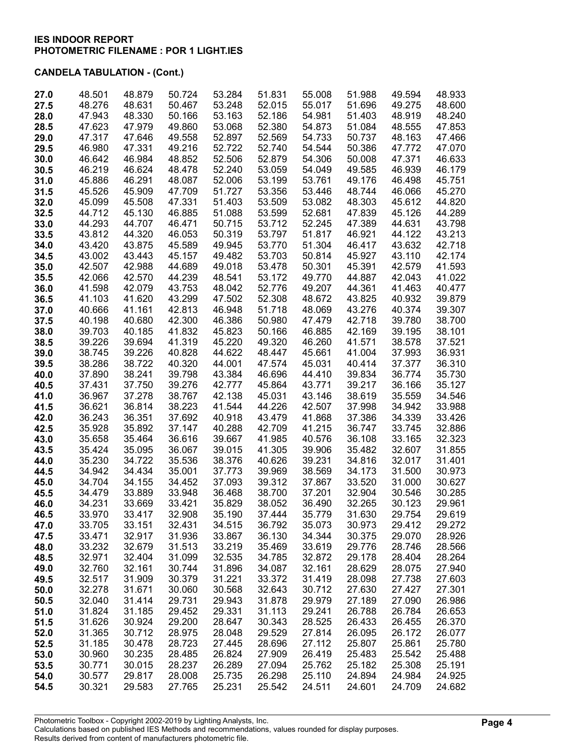| 27.0 | 48.501 | 48.879 | 50.724 | 53.284 | 51.831 | 55.008 | 51.988 | 49.594 | 48.933 |
|------|--------|--------|--------|--------|--------|--------|--------|--------|--------|
| 27.5 | 48.276 | 48.631 | 50.467 | 53.248 | 52.015 | 55.017 | 51.696 | 49.275 | 48.600 |
| 28.0 | 47.943 | 48.330 | 50.166 | 53.163 | 52.186 | 54.981 | 51.403 | 48.919 | 48.240 |
| 28.5 | 47.623 | 47.979 | 49.860 | 53.068 | 52.380 | 54.873 | 51.084 | 48.555 | 47.853 |
|      | 47.317 | 47.646 |        |        |        | 54.733 | 50.737 | 48.163 | 47.466 |
| 29.0 |        |        | 49.558 | 52.897 | 52.569 |        |        |        |        |
| 29.5 | 46.980 | 47.331 | 49.216 | 52.722 | 52.740 | 54.544 | 50.386 | 47.772 | 47.070 |
| 30.0 | 46.642 | 46.984 | 48.852 | 52.506 | 52.879 | 54.306 | 50.008 | 47.371 | 46.633 |
| 30.5 | 46.219 | 46.624 | 48.478 | 52.240 | 53.059 | 54.049 | 49.585 | 46.939 | 46.179 |
| 31.0 | 45.886 | 46.291 | 48.087 | 52.006 | 53.199 | 53.761 | 49.176 | 46.498 | 45.751 |
| 31.5 | 45.526 | 45.909 | 47.709 | 51.727 | 53.356 | 53.446 | 48.744 | 46.066 | 45.270 |
| 32.0 | 45.099 | 45.508 | 47.331 | 51.403 | 53.509 | 53.082 | 48.303 | 45.612 | 44.820 |
| 32.5 | 44.712 | 45.130 | 46.885 | 51.088 | 53.599 | 52.681 | 47.839 | 45.126 | 44.289 |
| 33.0 | 44.293 | 44.707 | 46.471 | 50.715 | 53.712 | 52.245 | 47.389 | 44.631 | 43.798 |
| 33.5 | 43.812 | 44.320 | 46.053 | 50.319 | 53.797 | 51.817 | 46.921 | 44.122 | 43.213 |
| 34.0 | 43.420 | 43.875 | 45.589 | 49.945 | 53.770 | 51.304 | 46.417 | 43.632 | 42.718 |
| 34.5 | 43.002 | 43.443 | 45.157 | 49.482 | 53.703 | 50.814 | 45.927 | 43.110 | 42.174 |
| 35.0 | 42.507 | 42.988 | 44.689 | 49.018 | 53.478 | 50.301 | 45.391 | 42.579 | 41.593 |
| 35.5 | 42.066 | 42.570 | 44.239 | 48.541 | 53.172 | 49.770 | 44.887 | 42.043 | 41.022 |
| 36.0 | 41.598 | 42.079 | 43.753 | 48.042 | 52.776 | 49.207 | 44.361 | 41.463 | 40.477 |
| 36.5 | 41.103 | 41.620 | 43.299 | 47.502 | 52.308 | 48.672 | 43.825 | 40.932 | 39.879 |
| 37.0 | 40.666 | 41.161 | 42.813 | 46.948 | 51.718 | 48.069 | 43.276 | 40.374 | 39.307 |
| 37.5 | 40.198 | 40.680 | 42.300 | 46.386 | 50.980 | 47.479 | 42.718 | 39.780 | 38.700 |
| 38.0 | 39.703 | 40.185 | 41.832 | 45.823 | 50.166 | 46.885 | 42.169 | 39.195 | 38.101 |
| 38.5 | 39.226 | 39.694 | 41.319 | 45.220 | 49.320 | 46.260 | 41.571 | 38.578 | 37.521 |
| 39.0 | 38.745 | 39.226 | 40.828 | 44.622 | 48.447 | 45.661 | 41.004 | 37.993 | 36.931 |
| 39.5 | 38.286 | 38.722 | 40.320 | 44.001 | 47.574 | 45.031 | 40.414 | 37.377 | 36.310 |
|      | 37.890 | 38.241 | 39.798 | 43.384 | 46.696 | 44.410 | 39.834 | 36.774 | 35.730 |
| 40.0 |        |        |        |        |        |        | 39.217 |        |        |
| 40.5 | 37.431 | 37.750 | 39.276 | 42.777 | 45.864 | 43.771 |        | 36.166 | 35.127 |
| 41.0 | 36.967 | 37.278 | 38.767 | 42.138 | 45.031 | 43.146 | 38.619 | 35.559 | 34.546 |
| 41.5 | 36.621 | 36.814 | 38.223 | 41.544 | 44.226 | 42.507 | 37.998 | 34.942 | 33.988 |
| 42.0 | 36.243 | 36.351 | 37.692 | 40.918 | 43.479 | 41.868 | 37.386 | 34.339 | 33.426 |
| 42.5 | 35.928 | 35.892 | 37.147 | 40.288 | 42.709 | 41.215 | 36.747 | 33.745 | 32.886 |
| 43.0 | 35.658 | 35.464 | 36.616 | 39.667 | 41.985 | 40.576 | 36.108 | 33.165 | 32.323 |
| 43.5 | 35.424 | 35.095 | 36.067 | 39.015 | 41.305 | 39.906 | 35.482 | 32.607 | 31.855 |
| 44.0 | 35.230 | 34.722 | 35.536 | 38.376 | 40.626 | 39.231 | 34.816 | 32.017 | 31.401 |
| 44.5 | 34.942 | 34.434 | 35.001 | 37.773 | 39.969 | 38.569 | 34.173 | 31.500 | 30.973 |
| 45.0 | 34.704 | 34.155 | 34.452 | 37.093 | 39.312 | 37.867 | 33.520 | 31.000 | 30.627 |
| 45.5 | 34.479 | 33.889 | 33.948 | 36.468 | 38.700 | 37.201 | 32.904 | 30.546 | 30.285 |
| 46.0 | 34.231 | 33.669 | 33.421 | 35.829 | 38.052 | 36.490 | 32.265 | 30.123 | 29.961 |
| 46.5 | 33.970 | 33.417 | 32.908 | 35.190 | 37.444 | 35.779 | 31.630 | 29.754 | 29.619 |
| 47.0 | 33.705 | 33.151 | 32.431 | 34.515 | 36.792 | 35.073 | 30.973 | 29.412 | 29.272 |
| 47.5 | 33.471 | 32.917 | 31.936 | 33.867 | 36.130 | 34.344 | 30.375 | 29.070 | 28.926 |
| 48.0 | 33.232 | 32.679 | 31.513 | 33.219 | 35.469 | 33.619 | 29.776 | 28.746 | 28.566 |
| 48.5 | 32.971 | 32.404 | 31.099 | 32.535 | 34.785 | 32.872 | 29.178 | 28.404 | 28.264 |
| 49.0 | 32.760 | 32.161 | 30.744 | 31.896 | 34.087 | 32.161 | 28.629 | 28.075 | 27.940 |
| 49.5 | 32.517 | 31.909 | 30.379 | 31.221 | 33.372 | 31.419 | 28.098 | 27.738 | 27.603 |
| 50.0 | 32.278 | 31.671 | 30.060 | 30.568 | 32.643 | 30.712 | 27.630 | 27.427 | 27.301 |
| 50.5 | 32.040 | 31.414 | 29.731 | 29.943 | 31.878 | 29.979 | 27.189 | 27.090 | 26.986 |
| 51.0 | 31.824 | 31.185 | 29.452 | 29.331 | 31.113 | 29.241 | 26.788 | 26.784 | 26.653 |
| 51.5 | 31.626 | 30.924 | 29.200 | 28.647 | 30.343 | 28.525 | 26.433 | 26.455 | 26.370 |
| 52.0 | 31.365 | 30.712 | 28.975 | 28.048 | 29.529 | 27.814 | 26.095 | 26.172 | 26.077 |
|      |        |        |        |        |        |        |        |        |        |
| 52.5 | 31.185 | 30.478 | 28.723 | 27.445 | 28.696 | 27.112 | 25.807 | 25.861 | 25.780 |
| 53.0 | 30.960 | 30.235 | 28.485 | 26.824 | 27.909 | 26.419 | 25.483 | 25.542 | 25.488 |
| 53.5 | 30.771 | 30.015 | 28.237 | 26.289 | 27.094 | 25.762 | 25.182 | 25.308 | 25.191 |
| 54.0 | 30.577 | 29.817 | 28.008 | 25.735 | 26.298 | 25.110 | 24.894 | 24.984 | 24.925 |
| 54.5 | 30.321 | 29.583 | 27.765 | 25.231 | 25.542 | 24.511 | 24.601 | 24.709 | 24.682 |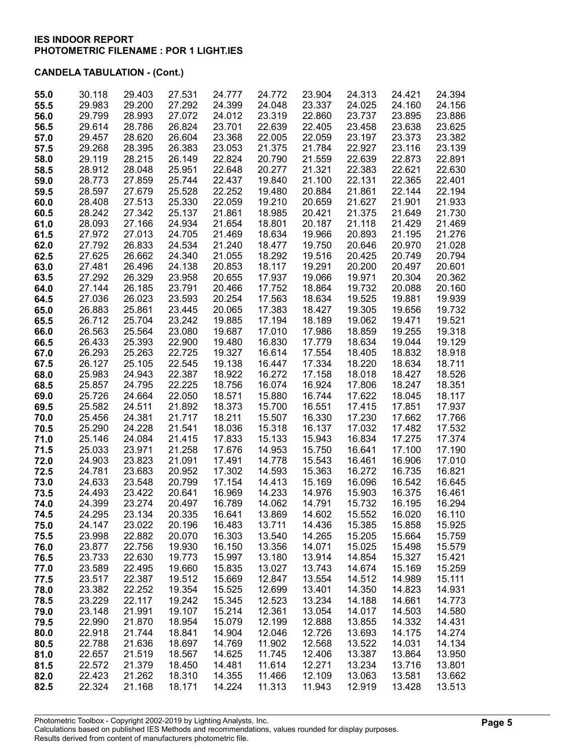| 55.0 | 30.118 | 29.403 | 27.531 | 24.777 | 24.772 | 23.904 | 24.313 | 24.421 | 24.394 |
|------|--------|--------|--------|--------|--------|--------|--------|--------|--------|
| 55.5 | 29.983 | 29.200 | 27.292 | 24.399 | 24.048 | 23.337 | 24.025 | 24.160 | 24.156 |
| 56.0 | 29.799 | 28.993 | 27.072 | 24.012 | 23.319 | 22.860 | 23.737 | 23.895 | 23.886 |
| 56.5 | 29.614 | 28.786 | 26.824 | 23.701 | 22.639 | 22.405 | 23.458 | 23.638 | 23.625 |
| 57.0 | 29.457 | 28.620 | 26.604 | 23.368 | 22.005 | 22.059 | 23.197 | 23.373 | 23.382 |
|      |        |        |        |        |        |        |        |        |        |
| 57.5 | 29.268 | 28.395 | 26.383 | 23.053 | 21.375 | 21.784 | 22.927 | 23.116 | 23.139 |
| 58.0 | 29.119 | 28.215 | 26.149 | 22.824 | 20.790 | 21.559 | 22.639 | 22.873 | 22.891 |
| 58.5 | 28.912 | 28.048 | 25.951 | 22.648 | 20.277 | 21.321 | 22.383 | 22.621 | 22.630 |
| 59.0 | 28.773 | 27.859 | 25.744 | 22.437 | 19.840 | 21.100 | 22.131 | 22.365 | 22.401 |
| 59.5 | 28.597 | 27.679 | 25.528 | 22.252 | 19.480 | 20.884 | 21.861 | 22.144 | 22.194 |
|      | 28.408 | 27.513 | 25.330 | 22.059 | 19.210 | 20.659 | 21.627 | 21.901 | 21.933 |
| 60.0 |        |        |        |        |        |        |        |        |        |
| 60.5 | 28.242 | 27.342 | 25.137 | 21.861 | 18.985 | 20.421 | 21.375 | 21.649 | 21.730 |
| 61.0 | 28.093 | 27.166 | 24.934 | 21.654 | 18.801 | 20.187 | 21.118 | 21.429 | 21.469 |
| 61.5 | 27.972 | 27.013 | 24.705 | 21.469 | 18.634 | 19.966 | 20.893 | 21.195 | 21.276 |
| 62.0 | 27.792 | 26.833 | 24.534 | 21.240 | 18.477 | 19.750 | 20.646 | 20.970 | 21.028 |
| 62.5 | 27.625 | 26.662 | 24.340 | 21.055 | 18.292 | 19.516 | 20.425 | 20.749 | 20.794 |
| 63.0 | 27.481 | 26.496 | 24.138 | 20.853 | 18.117 | 19.291 | 20.200 | 20.497 | 20.601 |
|      |        |        |        |        |        |        |        |        |        |
| 63.5 | 27.292 | 26.329 | 23.958 | 20.655 | 17.937 | 19.066 | 19.971 | 20.304 | 20.362 |
| 64.0 | 27.144 | 26.185 | 23.791 | 20.466 | 17.752 | 18.864 | 19.732 | 20.088 | 20.160 |
| 64.5 | 27.036 | 26.023 | 23.593 | 20.254 | 17.563 | 18.634 | 19.525 | 19.881 | 19.939 |
| 65.0 | 26.883 | 25.861 | 23.445 | 20.065 | 17.383 | 18.427 | 19.305 | 19.656 | 19.732 |
| 65.5 | 26.712 | 25.704 | 23.242 | 19.885 | 17.194 | 18.189 | 19.062 | 19.471 | 19.521 |
| 66.0 | 26.563 | 25.564 | 23.080 | 19.687 | 17.010 | 17.986 | 18.859 | 19.255 | 19.318 |
|      |        |        |        |        |        |        |        |        |        |
| 66.5 | 26.433 | 25.393 | 22.900 | 19.480 | 16.830 | 17.779 | 18.634 | 19.044 | 19.129 |
| 67.0 | 26.293 | 25.263 | 22.725 | 19.327 | 16.614 | 17.554 | 18.405 | 18.832 | 18.918 |
| 67.5 | 26.127 | 25.105 | 22.545 | 19.138 | 16.447 | 17.334 | 18.220 | 18.634 | 18.711 |
| 68.0 | 25.983 | 24.943 | 22.387 | 18.922 | 16.272 | 17.158 | 18.018 | 18.427 | 18.526 |
| 68.5 | 25.857 | 24.795 | 22.225 | 18.756 | 16.074 | 16.924 | 17.806 | 18.247 | 18.351 |
| 69.0 | 25.726 | 24.664 | 22.050 | 18.571 | 15.880 | 16.744 | 17.622 | 18.045 | 18.117 |
|      |        | 24.511 | 21.892 | 18.373 | 15.700 | 16.551 | 17.415 | 17.851 | 17.937 |
| 69.5 | 25.582 |        |        |        |        |        |        |        |        |
| 70.0 | 25.456 | 24.381 | 21.717 | 18.211 | 15.507 | 16.330 | 17.230 | 17.662 | 17.766 |
| 70.5 | 25.290 | 24.228 | 21.541 | 18.036 | 15.318 | 16.137 | 17.032 | 17.482 | 17.532 |
| 71.0 | 25.146 | 24.084 | 21.415 | 17.833 | 15.133 | 15.943 | 16.834 | 17.275 | 17.374 |
| 71.5 | 25.033 | 23.971 | 21.258 | 17.676 | 14.953 | 15.750 | 16.641 | 17.100 | 17.190 |
| 72.0 | 24.903 | 23.823 | 21.091 | 17.491 | 14.778 | 15.543 | 16.461 | 16.906 | 17.010 |
| 72.5 | 24.781 | 23.683 | 20.952 | 17.302 | 14.593 | 15.363 | 16.272 | 16.735 | 16.821 |
| 73.0 | 24.633 | 23.548 | 20.799 | 17.154 | 14.413 | 15.169 | 16.096 | 16.542 | 16.645 |
|      |        |        |        |        |        |        |        |        |        |
| 73.5 | 24.493 | 23.422 | 20.641 | 16.969 | 14.233 | 14.976 | 15.903 | 16.375 | 16.461 |
| 74.0 | 24.399 | 23.274 | 20.497 | 16.789 | 14.062 | 14.791 | 15.732 | 16.195 | 16.294 |
| 74.5 | 24.295 | 23.134 | 20.335 | 16.641 | 13.869 | 14.602 | 15.552 | 16.020 | 16.110 |
| 75.0 | 24.147 | 23.022 | 20.196 | 16.483 | 13.711 | 14.436 | 15.385 | 15.858 | 15.925 |
| 75.5 | 23.998 | 22.882 | 20.070 | 16.303 | 13.540 | 14.265 | 15.205 | 15.664 | 15.759 |
| 76.0 | 23.877 | 22.756 | 19.930 | 16.150 | 13.356 | 14.071 | 15.025 | 15.498 | 15.579 |
| 76.5 | 23.733 | 22.630 | 19.773 | 15.997 | 13.180 | 13.914 | 14.854 | 15.327 | 15.421 |
|      |        |        |        |        |        |        |        |        |        |
| 77.0 | 23.589 | 22.495 | 19.660 | 15.835 | 13.027 | 13.743 | 14.674 | 15.169 | 15.259 |
| 77.5 | 23.517 | 22.387 | 19.512 | 15.669 | 12.847 | 13.554 | 14.512 | 14.989 | 15.111 |
| 78.0 | 23.382 | 22.252 | 19.354 | 15.525 | 12.699 | 13.401 | 14.350 | 14.823 | 14.931 |
| 78.5 | 23.229 | 22.117 | 19.242 | 15.345 | 12.523 | 13.234 | 14.188 | 14.661 | 14.773 |
| 79.0 | 23.148 | 21.991 | 19.107 | 15.214 | 12.361 | 13.054 | 14.017 | 14.503 | 14.580 |
| 79.5 | 22.990 | 21.870 | 18.954 | 15.079 | 12.199 | 12.888 | 13.855 | 14.332 | 14.431 |
| 80.0 | 22.918 | 21.744 | 18.841 | 14.904 | 12.046 | 12.726 | 13.693 | 14.175 | 14.274 |
|      |        |        |        |        |        |        |        |        |        |
| 80.5 | 22.788 | 21.636 | 18.697 | 14.769 | 11.902 | 12.568 | 13.522 | 14.031 | 14.134 |
| 81.0 | 22.657 | 21.519 | 18.567 | 14.625 | 11.745 | 12.406 | 13.387 | 13.864 | 13.950 |
| 81.5 | 22.572 | 21.379 | 18.450 | 14.481 | 11.614 | 12.271 | 13.234 | 13.716 | 13.801 |
| 82.0 | 22.423 | 21.262 | 18.310 | 14.355 | 11.466 | 12.109 | 13.063 | 13.581 | 13.662 |
| 82.5 | 22.324 | 21.168 | 18.171 | 14.224 | 11.313 | 11.943 | 12.919 | 13.428 | 13.513 |
|      |        |        |        |        |        |        |        |        |        |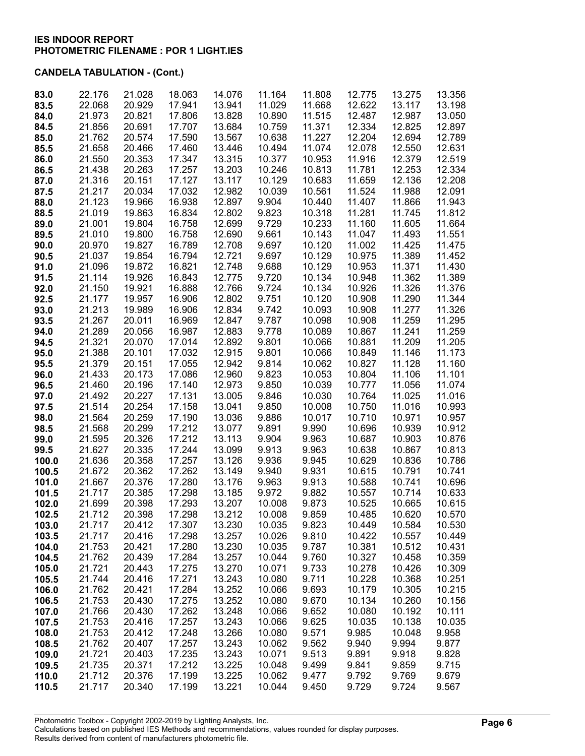| 83.0  | 22.176 | 21.028 | 18.063 | 14.076 | 11.164 | 11.808 | 12.775 | 13.275 | 13.356 |
|-------|--------|--------|--------|--------|--------|--------|--------|--------|--------|
| 83.5  | 22.068 | 20.929 | 17.941 | 13.941 | 11.029 | 11.668 | 12.622 | 13.117 | 13.198 |
| 84.0  | 21.973 | 20.821 | 17.806 | 13.828 | 10.890 | 11.515 | 12.487 | 12.987 | 13.050 |
| 84.5  | 21.856 | 20.691 | 17.707 | 13.684 | 10.759 | 11.371 | 12.334 | 12.825 | 12.897 |
|       | 21.762 | 20.574 | 17.590 |        |        | 11.227 | 12.204 | 12.694 | 12.789 |
| 85.0  |        |        |        | 13.567 | 10.638 |        |        |        |        |
| 85.5  | 21.658 | 20.466 | 17.460 | 13.446 | 10.494 | 11.074 | 12.078 | 12.550 | 12.631 |
| 86.0  | 21.550 | 20.353 | 17.347 | 13.315 | 10.377 | 10.953 | 11.916 | 12.379 | 12.519 |
| 86.5  | 21.438 | 20.263 | 17.257 | 13.203 | 10.246 | 10.813 | 11.781 | 12.253 | 12.334 |
| 87.0  | 21.316 | 20.151 | 17.127 | 13.117 | 10.129 | 10.683 | 11.659 | 12.136 | 12.208 |
| 87.5  | 21.217 | 20.034 | 17.032 | 12.982 | 10.039 | 10.561 | 11.524 | 11.988 | 12.091 |
|       |        |        |        |        |        |        |        |        |        |
| 88.0  | 21.123 | 19.966 | 16.938 | 12.897 | 9.904  | 10.440 | 11.407 | 11.866 | 11.943 |
| 88.5  | 21.019 | 19.863 | 16.834 | 12.802 | 9.823  | 10.318 | 11.281 | 11.745 | 11.812 |
| 89.0  | 21.001 | 19.804 | 16.758 | 12.699 | 9.729  | 10.233 | 11.160 | 11.605 | 11.664 |
| 89.5  | 21.010 | 19.800 | 16.758 | 12.690 | 9.661  | 10.143 | 11.047 | 11.493 | 11.551 |
| 90.0  | 20.970 | 19.827 | 16.789 | 12.708 | 9.697  | 10.120 | 11.002 | 11.425 | 11.475 |
| 90.5  | 21.037 | 19.854 | 16.794 | 12.721 | 9.697  | 10.129 | 10.975 | 11.389 | 11.452 |
|       |        |        |        |        |        |        |        |        |        |
| 91.0  | 21.096 | 19.872 | 16.821 | 12.748 | 9.688  | 10.129 | 10.953 | 11.371 | 11.430 |
| 91.5  | 21.114 | 19.926 | 16.843 | 12.775 | 9.720  | 10.134 | 10.948 | 11.362 | 11.389 |
| 92.0  | 21.150 | 19.921 | 16.888 | 12.766 | 9.724  | 10.134 | 10.926 | 11.326 | 11.376 |
| 92.5  | 21.177 | 19.957 | 16.906 | 12.802 | 9.751  | 10.120 | 10.908 | 11.290 | 11.344 |
| 93.0  | 21.213 | 19.989 | 16.906 | 12.834 | 9.742  | 10.093 | 10.908 | 11.277 | 11.326 |
| 93.5  | 21.267 | 20.011 | 16.969 | 12.847 | 9.787  | 10.098 | 10.908 | 11.259 | 11.295 |
|       |        |        |        |        |        |        |        |        |        |
| 94.0  | 21.289 | 20.056 | 16.987 | 12.883 | 9.778  | 10.089 | 10.867 | 11.241 | 11.259 |
| 94.5  | 21.321 | 20.070 | 17.014 | 12.892 | 9.801  | 10.066 | 10.881 | 11.209 | 11.205 |
| 95.0  | 21.388 | 20.101 | 17.032 | 12.915 | 9.801  | 10.066 | 10.849 | 11.146 | 11.173 |
| 95.5  | 21.379 | 20.151 | 17.055 | 12.942 | 9.814  | 10.062 | 10.827 | 11.128 | 11.160 |
| 96.0  | 21.433 | 20.173 | 17.086 | 12.960 | 9.823  | 10.053 | 10.804 | 11.106 | 11.101 |
| 96.5  | 21.460 | 20.196 | 17.140 | 12.973 | 9.850  | 10.039 | 10.777 | 11.056 | 11.074 |
|       |        |        |        |        |        |        |        |        |        |
| 97.0  | 21.492 | 20.227 | 17.131 | 13.005 | 9.846  | 10.030 | 10.764 | 11.025 | 11.016 |
| 97.5  | 21.514 | 20.254 | 17.158 | 13.041 | 9.850  | 10.008 | 10.750 | 11.016 | 10.993 |
| 98.0  | 21.564 | 20.259 | 17.190 | 13.036 | 9.886  | 10.017 | 10.710 | 10.971 | 10.957 |
| 98.5  | 21.568 | 20.299 | 17.212 | 13.077 | 9.891  | 9.990  | 10.696 | 10.939 | 10.912 |
| 99.0  | 21.595 | 20.326 | 17.212 | 13.113 | 9.904  | 9.963  | 10.687 | 10.903 | 10.876 |
| 99.5  | 21.627 | 20.335 | 17.244 | 13.099 | 9.913  | 9.963  | 10.638 | 10.867 | 10.813 |
|       | 21.636 |        |        | 13.126 | 9.936  |        | 10.629 | 10.836 |        |
| 100.0 |        | 20.358 | 17.257 |        |        | 9.945  |        |        | 10.786 |
| 100.5 | 21.672 | 20.362 | 17.262 | 13.149 | 9.940  | 9.931  | 10.615 | 10.791 | 10.741 |
| 101.0 | 21.667 | 20.376 | 17.280 | 13.176 | 9.963  | 9.913  | 10.588 | 10.741 | 10.696 |
| 101.5 | 21.717 | 20.385 | 17.298 | 13.185 | 9.972  | 9.882  | 10.557 | 10.714 | 10.633 |
| 102.0 | 21.699 | 20.398 | 17.293 | 13.207 | 10.008 | 9.873  | 10.525 | 10.665 | 10.615 |
| 102.5 | 21.712 | 20.398 | 17.298 | 13.212 | 10.008 | 9.859  | 10.485 | 10.620 | 10.570 |
| 103.0 | 21.717 | 20.412 | 17.307 | 13.230 | 10.035 | 9.823  | 10.449 | 10.584 | 10.530 |
| 103.5 | 21.717 | 20.416 | 17.298 | 13.257 | 10.026 | 9.810  | 10.422 | 10.557 | 10.449 |
|       |        |        |        |        |        |        |        |        |        |
| 104.0 | 21.753 | 20.421 | 17.280 | 13.230 | 10.035 | 9.787  | 10.381 | 10.512 | 10.431 |
| 104.5 | 21.762 | 20.439 | 17.284 | 13.257 | 10.044 | 9.760  | 10.327 | 10.458 | 10.359 |
| 105.0 | 21.721 | 20.443 | 17.275 | 13.270 | 10.071 | 9.733  | 10.278 | 10.426 | 10.309 |
| 105.5 | 21.744 | 20.416 | 17.271 | 13.243 | 10.080 | 9.711  | 10.228 | 10.368 | 10.251 |
| 106.0 | 21.762 | 20.421 | 17.284 | 13.252 | 10.066 | 9.693  | 10.179 | 10.305 | 10.215 |
| 106.5 | 21.753 | 20.430 | 17.275 | 13.252 | 10.080 | 9.670  | 10.134 | 10.260 | 10.156 |
|       |        |        |        |        |        |        |        |        |        |
| 107.0 | 21.766 | 20.430 | 17.262 | 13.248 | 10.066 | 9.652  | 10.080 | 10.192 | 10.111 |
| 107.5 | 21.753 | 20.416 | 17.257 | 13.243 | 10.066 | 9.625  | 10.035 | 10.138 | 10.035 |
| 108.0 | 21.753 | 20.412 | 17.248 | 13.266 | 10.080 | 9.571  | 9.985  | 10.048 | 9.958  |
| 108.5 | 21.762 | 20.407 | 17.257 | 13.243 | 10.062 | 9.562  | 9.940  | 9.994  | 9.877  |
| 109.0 | 21.721 | 20.403 | 17.235 | 13.243 | 10.071 | 9.513  | 9.891  | 9.918  | 9.828  |
| 109.5 | 21.735 | 20.371 | 17.212 | 13.225 | 10.048 | 9.499  | 9.841  | 9.859  | 9.715  |
|       |        |        |        |        |        |        |        |        |        |
| 110.0 | 21.712 | 20.376 | 17.199 | 13.225 | 10.062 | 9.477  | 9.792  | 9.769  | 9.679  |
| 110.5 | 21.717 | 20.340 | 17.199 | 13.221 | 10.044 | 9.450  | 9.729  | 9.724  | 9.567  |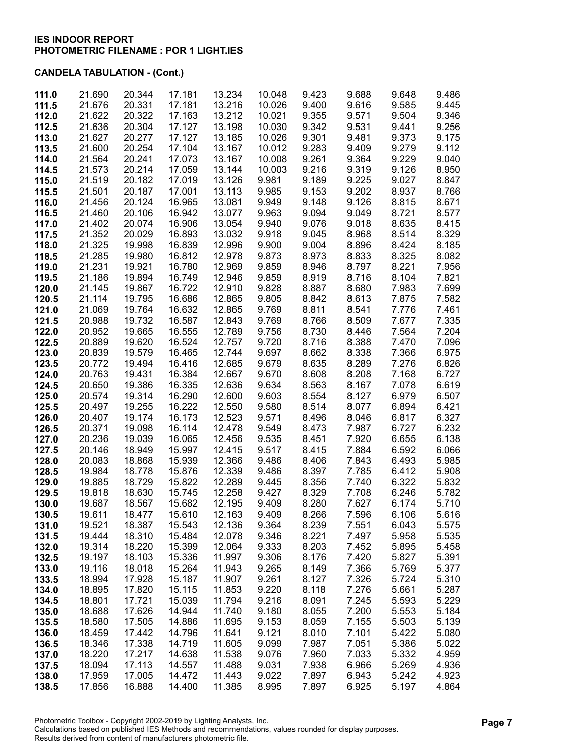| 111.0 | 21.690 | 20.344 | 17.181 | 13.234 | 10.048 | 9.423 | 9.688 | 9.648 | 9.486 |
|-------|--------|--------|--------|--------|--------|-------|-------|-------|-------|
| 111.5 | 21.676 | 20.331 | 17.181 | 13.216 | 10.026 | 9.400 | 9.616 | 9.585 | 9.445 |
| 112.0 | 21.622 | 20.322 | 17.163 | 13.212 | 10.021 | 9.355 | 9.571 | 9.504 | 9.346 |
| 112.5 | 21.636 | 20.304 | 17.127 | 13.198 | 10.030 | 9.342 | 9.531 | 9.441 | 9.256 |
|       |        |        |        |        |        |       |       |       |       |
| 113.0 | 21.627 | 20.277 | 17.127 | 13.185 | 10.026 | 9.301 | 9.481 | 9.373 | 9.175 |
| 113.5 | 21.600 | 20.254 | 17.104 | 13.167 | 10.012 | 9.283 | 9.409 | 9.279 | 9.112 |
| 114.0 | 21.564 | 20.241 | 17.073 | 13.167 | 10.008 | 9.261 | 9.364 | 9.229 | 9.040 |
| 114.5 | 21.573 | 20.214 | 17.059 | 13.144 | 10.003 | 9.216 | 9.319 | 9.126 | 8.950 |
| 115.0 | 21.519 | 20.182 | 17.019 | 13.126 | 9.981  | 9.189 | 9.225 | 9.027 | 8.847 |
| 115.5 | 21.501 | 20.187 | 17.001 | 13.113 | 9.985  | 9.153 | 9.202 | 8.937 | 8.766 |
| 116.0 | 21.456 | 20.124 | 16.965 | 13.081 | 9.949  | 9.148 | 9.126 | 8.815 | 8.671 |
| 116.5 | 21.460 | 20.106 | 16.942 | 13.077 | 9.963  | 9.094 | 9.049 | 8.721 | 8.577 |
| 117.0 | 21.402 | 20.074 | 16.906 | 13.054 | 9.940  | 9.076 | 9.018 | 8.635 | 8.415 |
| 117.5 | 21.352 | 20.029 | 16.893 | 13.032 | 9.918  | 9.045 | 8.968 | 8.514 | 8.329 |
| 118.0 | 21.325 | 19.998 | 16.839 | 12.996 | 9.900  | 9.004 | 8.896 | 8.424 | 8.185 |
| 118.5 | 21.285 | 19.980 | 16.812 | 12.978 | 9.873  | 8.973 | 8.833 | 8.325 | 8.082 |
| 119.0 | 21.231 | 19.921 | 16.780 | 12.969 | 9.859  | 8.946 | 8.797 | 8.221 | 7.956 |
| 119.5 | 21.186 | 19.894 | 16.749 | 12.946 | 9.859  | 8.919 | 8.716 | 8.104 | 7.821 |
| 120.0 | 21.145 | 19.867 | 16.722 | 12.910 | 9.828  | 8.887 | 8.680 | 7.983 | 7.699 |
| 120.5 | 21.114 | 19.795 | 16.686 | 12.865 | 9.805  | 8.842 | 8.613 | 7.875 | 7.582 |
| 121.0 | 21.069 | 19.764 | 16.632 | 12.865 | 9.769  | 8.811 | 8.541 | 7.776 | 7.461 |
| 121.5 | 20.988 | 19.732 | 16.587 | 12.843 | 9.769  | 8.766 | 8.509 | 7.677 | 7.335 |
| 122.0 | 20.952 | 19.665 | 16.555 | 12.789 | 9.756  | 8.730 | 8.446 | 7.564 | 7.204 |
| 122.5 | 20.889 | 19.620 | 16.524 | 12.757 | 9.720  | 8.716 | 8.388 | 7.470 | 7.096 |
| 123.0 | 20.839 | 19.579 | 16.465 | 12.744 | 9.697  | 8.662 | 8.338 | 7.366 | 6.975 |
| 123.5 | 20.772 | 19.494 | 16.416 | 12.685 | 9.679  | 8.635 | 8.289 | 7.276 | 6.826 |
| 124.0 | 20.763 | 19.431 | 16.384 | 12.667 | 9.670  | 8.608 | 8.208 | 7.168 | 6.727 |
| 124.5 | 20.650 | 19.386 | 16.335 | 12.636 | 9.634  | 8.563 | 8.167 | 7.078 | 6.619 |
|       |        |        |        |        |        |       |       |       |       |
| 125.0 | 20.574 | 19.314 | 16.290 | 12.600 | 9.603  | 8.554 | 8.127 | 6.979 | 6.507 |
| 125.5 | 20.497 | 19.255 | 16.222 | 12.550 | 9.580  | 8.514 | 8.077 | 6.894 | 6.421 |
| 126.0 | 20.407 | 19.174 | 16.173 | 12.523 | 9.571  | 8.496 | 8.046 | 6.817 | 6.327 |
| 126.5 | 20.371 | 19.098 | 16.114 | 12.478 | 9.549  | 8.473 | 7.987 | 6.727 | 6.232 |
| 127.0 | 20.236 | 19.039 | 16.065 | 12.456 | 9.535  | 8.451 | 7.920 | 6.655 | 6.138 |
| 127.5 | 20.146 | 18.949 | 15.997 | 12.415 | 9.517  | 8.415 | 7.884 | 6.592 | 6.066 |
| 128.0 | 20.083 | 18.868 | 15.939 | 12.366 | 9.486  | 8.406 | 7.843 | 6.493 | 5.985 |
| 128.5 | 19.984 | 18.778 | 15.876 | 12.339 | 9.486  | 8.397 | 7.785 | 6.412 | 5.908 |
| 129.0 | 19.885 | 18.729 | 15.822 | 12.289 | 9.445  | 8.356 | 7.740 | 6.322 | 5.832 |
| 129.5 | 19.818 | 18.630 | 15.745 | 12.258 | 9.427  | 8.329 | 7.708 | 6.246 | 5.782 |
| 130.0 | 19.687 | 18.567 | 15.682 | 12.195 | 9.409  | 8.280 | 7.627 | 6.174 | 5.710 |
| 130.5 | 19.611 | 18.477 | 15.610 | 12.163 | 9.409  | 8.266 | 7.596 | 6.106 | 5.616 |
| 131.0 | 19.521 | 18.387 | 15.543 | 12.136 | 9.364  | 8.239 | 7.551 | 6.043 | 5.575 |
| 131.5 | 19.444 | 18.310 | 15.484 | 12.078 | 9.346  | 8.221 | 7.497 | 5.958 | 5.535 |
| 132.0 | 19.314 | 18.220 | 15.399 | 12.064 | 9.333  | 8.203 | 7.452 | 5.895 | 5.458 |
| 132.5 | 19.197 | 18.103 | 15.336 | 11.997 | 9.306  | 8.176 | 7.420 | 5.827 | 5.391 |
| 133.0 | 19.116 | 18.018 | 15.264 | 11.943 | 9.265  | 8.149 | 7.366 | 5.769 | 5.377 |
| 133.5 | 18.994 | 17.928 | 15.187 | 11.907 | 9.261  | 8.127 | 7.326 | 5.724 | 5.310 |
| 134.0 | 18.895 | 17.820 | 15.115 | 11.853 | 9.220  | 8.118 | 7.276 | 5.661 | 5.287 |
| 134.5 | 18.801 | 17.721 | 15.039 | 11.794 | 9.216  | 8.091 | 7.245 | 5.593 | 5.229 |
| 135.0 | 18.688 | 17.626 | 14.944 | 11.740 | 9.180  | 8.055 | 7.200 | 5.553 | 5.184 |
| 135.5 | 18.580 | 17.505 | 14.886 | 11.695 | 9.153  | 8.059 | 7.155 | 5.503 | 5.139 |
| 136.0 | 18.459 | 17.442 | 14.796 | 11.641 | 9.121  | 8.010 | 7.101 | 5.422 | 5.080 |
| 136.5 | 18.346 | 17.338 | 14.719 | 11.605 | 9.099  | 7.987 | 7.051 | 5.386 | 5.022 |
| 137.0 | 18.220 | 17.217 | 14.638 | 11.538 | 9.076  | 7.960 | 7.033 | 5.332 | 4.959 |
| 137.5 | 18.094 | 17.113 | 14.557 | 11.488 | 9.031  | 7.938 | 6.966 | 5.269 | 4.936 |
| 138.0 | 17.959 | 17.005 | 14.472 | 11.443 | 9.022  | 7.897 | 6.943 | 5.242 | 4.923 |
| 138.5 | 17.856 | 16.888 | 14.400 | 11.385 | 8.995  | 7.897 | 6.925 | 5.197 | 4.864 |
|       |        |        |        |        |        |       |       |       |       |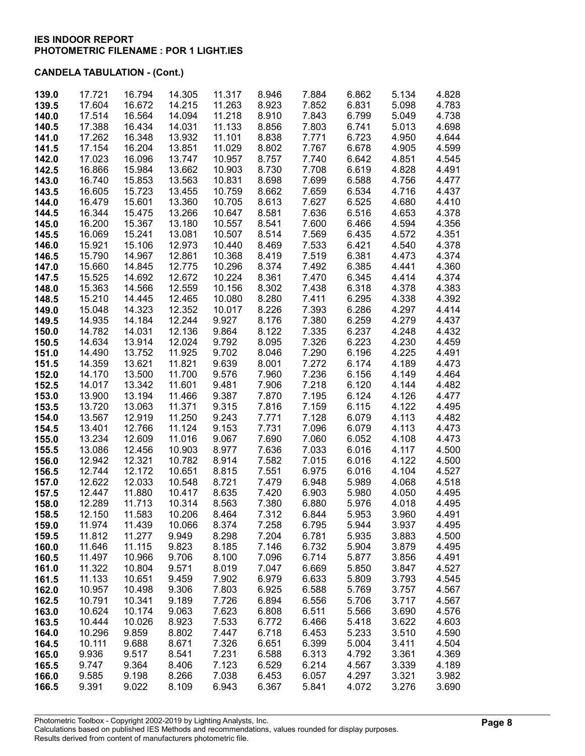| 139.0          | 17.721           | 16.794           | 14.305           | 11.317           | 8.946          | 7.884          | 6.862          | 5.134          | 4.828          |
|----------------|------------------|------------------|------------------|------------------|----------------|----------------|----------------|----------------|----------------|
| 139.5          | 17.604           | 16.672           | 14.215           | 11.263           | 8.923          | 7.852          | 6.831          | 5.098          | 4.783          |
| 140.0          | 17.514           | 16.564           | 14.094           | 11.218           | 8.910          | 7.843          | 6.799          | 5.049          | 4.738          |
| 140.5          | 17.388           | 16.434           | 14.031           | 11.133           | 8.856          | 7.803          | 6.741          | 5.013          | 4.698          |
| 141.0          | 17.262           | 16.348           | 13.932           | 11.101           | 8.838          | 7.771          | 6.723          | 4.950          | 4.644          |
| 141.5          | 17.154           | 16.204           | 13.851           | 11.029           | 8.802          | 7.767          | 6.678          | 4.905          | 4.599          |
| 142.0          | 17.023           | 16.096           | 13.747           | 10.957           | 8.757          | 7.740          | 6.642          | 4.851          | 4.545          |
| 142.5          | 16.866<br>16.740 | 15.984<br>15.853 | 13.662<br>13.563 | 10.903           | 8.730<br>8.698 | 7.708<br>7.699 | 6.619<br>6.588 | 4.828          | 4.491<br>4.477 |
| 143.0<br>143.5 | 16.605           | 15.723           | 13.455           | 10.831<br>10.759 | 8.662          | 7.659          | 6.534          | 4.756<br>4.716 | 4.437          |
| 144.0          | 16.479           | 15.601           | 13.360           | 10.705           | 8.613          | 7.627          | 6.525          | 4.680          | 4.410          |
| 144.5          | 16.344           | 15.475           | 13.266           | 10.647           | 8.581          | 7.636          | 6.516          | 4.653          | 4.378          |
| 145.0          | 16.200           | 15.367           | 13.180           | 10.557           | 8.541          | 7.600          | 6.466          | 4.594          | 4.356          |
| 145.5          | 16.069           | 15.241           | 13.081           | 10.507           | 8.514          | 7.569          | 6.435          | 4.572          | 4.351          |
| 146.0          | 15.921           | 15.106           | 12.973           | 10.440           | 8.469          | 7.533          | 6.421          | 4.540          | 4.378          |
| 146.5          | 15.790           | 14.967           | 12.861           | 10.368           | 8.419          | 7.519          | 6.381          | 4.473          | 4.374          |
| 147.0          | 15.660           | 14.845           | 12.775           | 10.296           | 8.374          | 7.492          | 6.385          | 4.441          | 4.360          |
| 147.5          | 15.525           | 14.692           | 12.672           | 10.224           | 8.361          | 7.470          | 6.345          | 4.414          | 4.374          |
| 148.0          | 15.363           | 14.566           | 12.559           | 10.156           | 8.302          | 7.438          | 6.318          | 4.378          | 4.383          |
| 148.5          | 15.210           | 14.445           | 12.465           | 10.080           | 8.280          | 7.411          | 6.295          | 4.338          | 4.392          |
| 149.0          | 15.048           | 14.323           | 12.352           | 10.017           | 8.226          | 7.393          | 6.286          | 4.297          | 4.414          |
| 149.5          | 14.935           | 14.184           | 12.244           | 9.927            | 8.176          | 7.380          | 6.259          | 4.279          | 4.437          |
| 150.0          | 14.782<br>14.634 | 14.031<br>13.914 | 12.136<br>12.024 | 9.864<br>9.792   | 8.122<br>8.095 | 7.335<br>7.326 | 6.237<br>6.223 | 4.248<br>4.230 | 4.432<br>4.459 |
| 150.5<br>151.0 | 14.490           | 13.752           | 11.925           | 9.702            | 8.046          | 7.290          | 6.196          | 4.225          | 4.491          |
| 151.5          | 14.359           | 13.621           | 11.821           | 9.639            | 8.001          | 7.272          | 6.174          | 4.189          | 4.473          |
| 152.0          | 14.170           | 13.500           | 11.700           | 9.576            | 7.960          | 7.236          | 6.156          | 4.149          | 4.464          |
| 152.5          | 14.017           | 13.342           | 11.601           | 9.481            | 7.906          | 7.218          | 6.120          | 4.144          | 4.482          |
| 153.0          | 13.900           | 13.194           | 11.466           | 9.387            | 7.870          | 7.195          | 6.124          | 4.126          | 4.477          |
| 153.5          | 13.720           | 13.063           | 11.371           | 9.315            | 7.816          | 7.159          | 6.115          | 4.122          | 4.495          |
| 154.0          | 13.567           | 12.919           | 11.250           | 9.243            | 7.771          | 7.128          | 6.079          | 4.113          | 4.482          |
| 154.5          | 13.401           | 12.766           | 11.124           | 9.153            | 7.731          | 7.096          | 6.079          | 4.113          | 4.473          |
| 155.0          | 13.234           | 12.609           | 11.016           | 9.067            | 7.690          | 7.060          | 6.052          | 4.108          | 4.473          |
| 155.5          | 13.086           | 12.456           | 10.903           | 8.977            | 7.636          | 7.033          | 6.016          | 4.117          | 4.500          |
| 156.0          | 12.942           | 12.321           | 10.782           | 8.914            | 7.582          | 7.015          | 6.016          | 4.122          | 4.500          |
| 156.5          | 12.744           | 12.172           | 10.651           | 8.815            | 7.551          | 6.975          | 6.016          | 4.104          | 4.527          |
| 157.0<br>157.5 | 12.622<br>12.447 | 12.033<br>11.880 | 10.548<br>10.417 | 8.721<br>8.635   | 7.479<br>7.420 | 6.948<br>6.903 | 5.989<br>5.980 | 4.068<br>4.050 | 4.518<br>4.495 |
| 158.0          | 12.289           | 11.713           | 10.314           | 8.563            | 7.380          | 6.880          | 5.976          | 4.018          | 4.495          |
| 158.5          | 12.150           | 11.583           | 10.206           | 8.464            | 7.312          | 6.844          | 5.953          | 3.960          | 4.491          |
| 159.0          | 11.974           | 11.439           | 10.066           | 8.374            | 7.258          | 6.795          | 5.944          | 3.937          | 4.495          |
| 159.5          | 11.812           | 11.277           | 9.949            | 8.298            | 7.204          | 6.781          | 5.935          | 3.883          | 4.500          |
| 160.0          | 11.646           | 11.115           | 9.823            | 8.185            | 7.146          | 6.732          | 5.904          | 3.879          | 4.495          |
| 160.5          | 11.497           | 10.966           | 9.706            | 8.100            | 7.096          | 6.714          | 5.877          | 3.856          | 4.491          |
| 161.0          | 11.322           | 10.804           | 9.571            | 8.019            | 7.047          | 6.669          | 5.850          | 3.847          | 4.527          |
| 161.5          | 11.133           | 10.651           | 9.459            | 7.902            | 6.979          | 6.633          | 5.809          | 3.793          | 4.545          |
| 162.0          | 10.957           | 10.498           | 9.306            | 7.803            | 6.925          | 6.588          | 5.769          | 3.757          | 4.567          |
| 162.5          | 10.791           | 10.341           | 9.189            | 7.726            | 6.894          | 6.556          | 5.706          | 3.717          | 4.567          |
| 163.0          | 10.624           | 10.174           | 9.063            | 7.623            | 6.808          | 6.511          | 5.566          | 3.690          | 4.576          |
| 163.5          | 10.444           | 10.026           | 8.923            | 7.533            | 6.772          | 6.466          | 5.418          | 3.622          | 4.603          |
| 164.0<br>164.5 | 10.296<br>10.111 | 9.859<br>9.688   | 8.802<br>8.671   | 7.447<br>7.326   | 6.718<br>6.651 | 6.453<br>6.399 | 5.233<br>5.004 | 3.510<br>3.411 | 4.590<br>4.504 |
| 165.0          | 9.936            | 9.517            | 8.541            | 7.231            | 6.588          | 6.313          | 4.792          | 3.361          | 4.369          |
| 165.5          | 9.747            | 9.364            | 8.406            | 7.123            | 6.529          | 6.214          | 4.567          | 3.339          | 4.189          |
| 166.0          | 9.585            | 9.198            | 8.266            | 7.038            | 6.453          | 6.057          | 4.297          | 3.321          | 3.982          |
| 166.5          | 9.391            | 9.022            | 8.109            | 6.943            | 6.367          | 5.841          | 4.072          | 3.276          | 3.690          |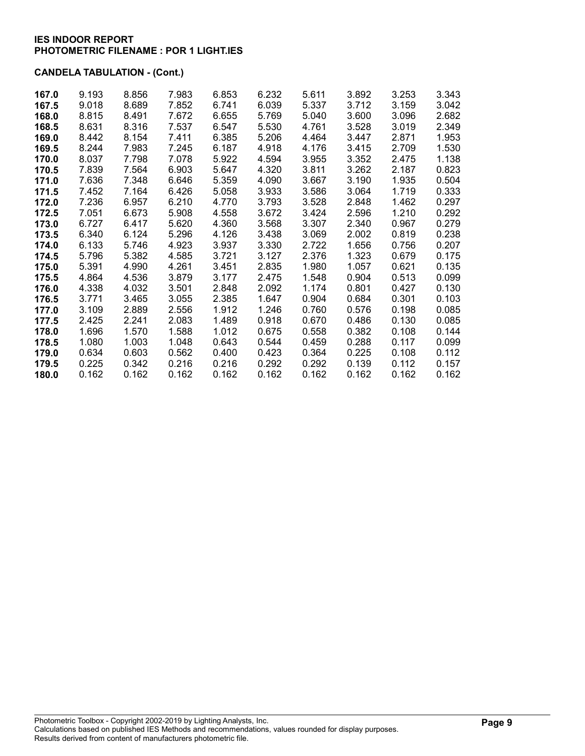| 167.0 | 9.193 | 8.856 | 7.983 | 6.853 | 6.232 | 5.611 | 3.892 | 3.253 | 3.343 |
|-------|-------|-------|-------|-------|-------|-------|-------|-------|-------|
| 167.5 | 9.018 | 8.689 | 7.852 | 6.741 | 6.039 | 5.337 | 3.712 | 3.159 | 3.042 |
| 168.0 | 8.815 | 8.491 | 7.672 | 6.655 | 5.769 | 5.040 | 3.600 | 3.096 | 2.682 |
| 168.5 | 8.631 | 8.316 | 7.537 | 6.547 | 5.530 | 4.761 | 3.528 | 3.019 | 2.349 |
| 169.0 | 8.442 | 8.154 | 7.411 | 6.385 | 5.206 | 4.464 | 3.447 | 2.871 | 1.953 |
| 169.5 | 8.244 | 7.983 | 7.245 | 6.187 | 4.918 | 4.176 | 3.415 | 2.709 | 1.530 |
| 170.0 | 8.037 | 7.798 | 7.078 | 5.922 | 4.594 | 3.955 | 3.352 | 2.475 | 1.138 |
| 170.5 | 7.839 | 7.564 | 6.903 | 5.647 | 4.320 | 3.811 | 3.262 | 2.187 | 0.823 |
| 171.0 | 7.636 | 7.348 | 6.646 | 5.359 | 4.090 | 3.667 | 3.190 | 1.935 | 0.504 |
| 171.5 | 7.452 | 7.164 | 6.426 | 5.058 | 3.933 | 3.586 | 3.064 | 1.719 | 0.333 |
| 172.0 | 7.236 | 6.957 | 6.210 | 4.770 | 3.793 | 3.528 | 2.848 | 1.462 | 0.297 |
| 172.5 | 7.051 | 6.673 | 5.908 | 4.558 | 3.672 | 3.424 | 2.596 | 1.210 | 0.292 |
| 173.0 | 6.727 | 6.417 | 5.620 | 4.360 | 3.568 | 3.307 | 2.340 | 0.967 | 0.279 |
| 173.5 | 6.340 | 6.124 | 5.296 | 4.126 | 3.438 | 3.069 | 2.002 | 0.819 | 0.238 |
| 174.0 | 6.133 | 5.746 | 4.923 | 3.937 | 3.330 | 2.722 | 1.656 | 0.756 | 0.207 |
| 174.5 | 5.796 | 5.382 | 4.585 | 3.721 | 3.127 | 2.376 | 1.323 | 0.679 | 0.175 |
| 175.0 | 5.391 | 4.990 | 4.261 | 3.451 | 2.835 | 1.980 | 1.057 | 0.621 | 0.135 |
| 175.5 | 4.864 | 4.536 | 3.879 | 3.177 | 2.475 | 1.548 | 0.904 | 0.513 | 0.099 |
| 176.0 | 4.338 | 4.032 | 3.501 | 2.848 | 2.092 | 1.174 | 0.801 | 0.427 | 0.130 |
| 176.5 | 3.771 | 3.465 | 3.055 | 2.385 | 1.647 | 0.904 | 0.684 | 0.301 | 0.103 |
| 177.0 | 3.109 | 2.889 | 2.556 | 1.912 | 1.246 | 0.760 | 0.576 | 0.198 | 0.085 |
| 177.5 | 2.425 | 2.241 | 2.083 | 1.489 | 0.918 | 0.670 | 0.486 | 0.130 | 0.085 |
| 178.0 | 1.696 | 1.570 | 1.588 | 1.012 | 0.675 | 0.558 | 0.382 | 0.108 | 0.144 |
| 178.5 | 1.080 | 1.003 | 1.048 | 0.643 | 0.544 | 0.459 | 0.288 | 0.117 | 0.099 |
| 179.0 | 0.634 | 0.603 | 0.562 | 0.400 | 0.423 | 0.364 | 0.225 | 0.108 | 0.112 |
| 179.5 | 0.225 | 0.342 | 0.216 | 0.216 | 0.292 | 0.292 | 0.139 | 0.112 | 0.157 |
| 180.0 | 0.162 | 0.162 | 0.162 | 0.162 | 0.162 | 0.162 | 0.162 | 0.162 | 0.162 |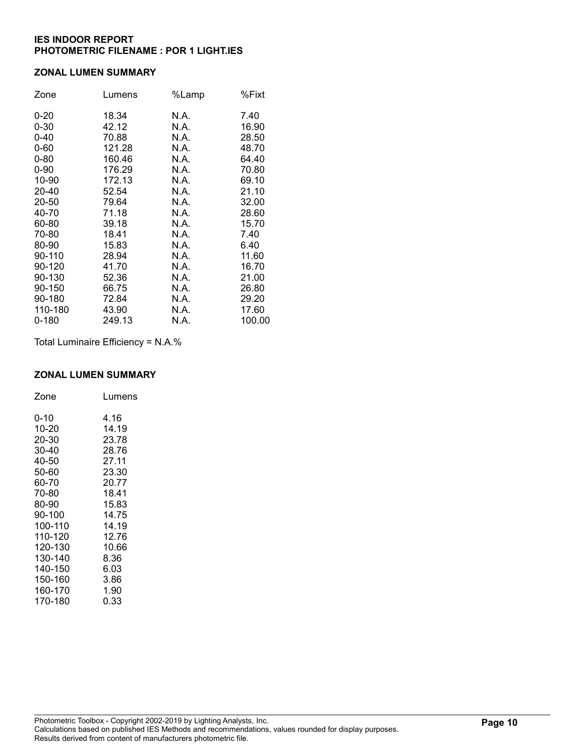#### ZONAL LUMEN SUMMARY

| Zone      | Lumens | %Lamp | %Fixt  |
|-----------|--------|-------|--------|
| $0 - 20$  | 18.34  | N.A.  | 7.40   |
| $0 - 30$  | 42.12  | N.A.  | 16.90  |
| $0 - 40$  | 70.88  | N.A.  | 28.50  |
| $0 - 60$  | 121.28 | N.A.  | 48.70  |
| $0 - 80$  | 160.46 | N.A.  | 64.40  |
| $0 - 90$  | 176.29 | N.A.  | 70.80  |
| 10-90     | 172.13 | N.A.  | 69.10  |
| 20-40     | 52.54  | N.A.  | 21.10  |
| 20-50     | 79.64  | N.A.  | 32.00  |
| 40-70     | 71.18  | N.A.  | 28.60  |
| 60-80     | 39.18  | N.A.  | 15.70  |
| 70-80     | 18.41  | N.A.  | 7.40   |
| 80-90     | 15.83  | N.A.  | 6.40   |
| 90-110    | 28.94  | N.A.  | 11.60  |
| 90-120    | 41.70  | N.A.  | 16.70  |
| 90-130    | 52.36  | N.A.  | 21.00  |
| 90-150    | 66.75  | N.A.  | 26.80  |
| 90-180    | 72.84  | N.A.  | 29.20  |
| 110-180   | 43.90  | N.A.  | 17.60  |
| $0 - 180$ | 249.13 | N.A.  | 100.00 |

Total Luminaire Efficiency = N.A.%

### ZONAL LUMEN SUMMARY

| Zone    | Lumens |
|---------|--------|
| 0-10    | 4.16   |
| 10-20   | 14.19  |
| 20-30   | 23.78  |
| 30-40   | 28.76  |
| 40-50   | 27.11  |
| 50-60   | 23.30  |
| 60-70   | 20.77  |
| 70-80   | 18.41  |
| 80-90   | 15.83  |
| 90-100  | 14.75  |
| 100-110 | 14.19  |
| 110-120 | 12.76  |
| 120-130 | 10.66  |
| 130-140 | 8.36   |
| 140-150 | 6.03   |
| 150-160 | 3.86   |
| 160-170 | 1.90   |
| 170-180 | 0.33   |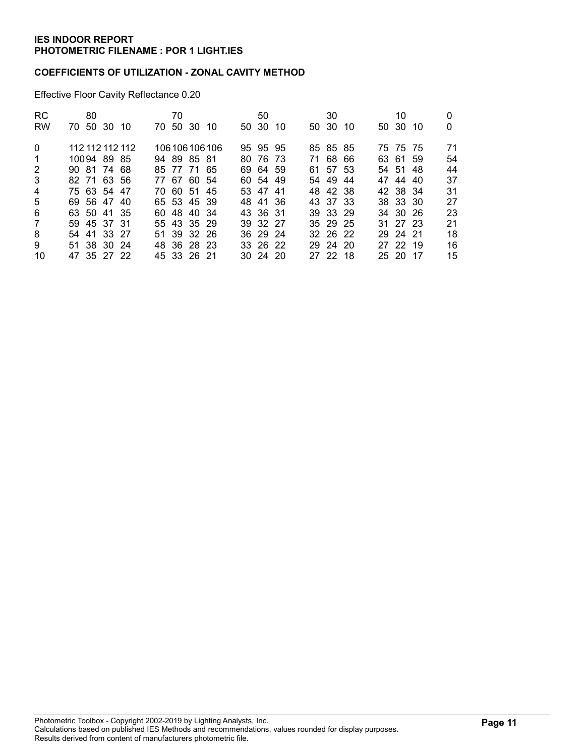#### COEFFICIENTS OF UTILIZATION - ZONAL CAVITY METHOD

Effective Floor Cavity Reflectance 0.20

| <b>RC</b>      | 80              |  | 70 |             |                 | 50           |     | 30       |     | 10       |     |    |
|----------------|-----------------|--|----|-------------|-----------------|--------------|-----|----------|-----|----------|-----|----|
| <b>RW</b>      | 70 50 30 10     |  |    | 70 50 30 10 |                 | 50 30        | -10 | 50 30    | -10 | 50 30    | -10 | 0  |
| $\Omega$       | 112 112 112 112 |  |    |             | 106 106 106 106 | 95 95 95     |     | 85 85 85 |     | 75 75 75 |     | 71 |
| -1             | 10094 89 85     |  |    | 94 89 85 81 |                 | 80 76 73     |     | 71 68 66 |     | 63 61 59 |     | 54 |
| 2              | 90 81 74 68     |  |    | 85 77 71 65 |                 | 69 64 59     |     | 61 57 53 |     | 54 51 48 |     | 44 |
| 3              | 82 71 63 56     |  |    | 77 67 60 54 |                 | 60 54 49     |     | 54 49    | -44 | 47 44 40 |     | 37 |
| $\overline{4}$ | 75 63 54 47     |  |    | 70 60 51 45 |                 | 53 47 41     |     | 48 42 38 |     | 42 38 34 |     | 31 |
| 5              | 69 56 47 40     |  |    | 65 53 45 39 |                 | 48 41 36     |     | 43 37 33 |     | 38 33 30 |     | 27 |
| 6              | 63 50 41 35     |  |    | 60 48 40 34 |                 | 43 36 31     |     | 39 33 29 |     | 34 30 26 |     | 23 |
| $\overline{7}$ | 59 45 37 31     |  |    | 55 43 35 29 |                 | 39 32 27     |     | 35 29 25 |     | 31 27 23 |     | 21 |
| 8              | 54 41 33 27     |  |    | 51 39 32 26 |                 | 36 29 24     |     | 32 26 22 |     | 29 24 21 |     | 18 |
| 9              | 51 38 30 24     |  |    | 48 36 28 23 |                 | 33 26 22     |     | 29 24 20 |     | 27 22 19 |     | 16 |
| 10             | 47 35 27 22     |  |    | 45 33 26 21 |                 | $30\,24\,20$ |     | 27 22 18 |     | 25 20 17 |     | 15 |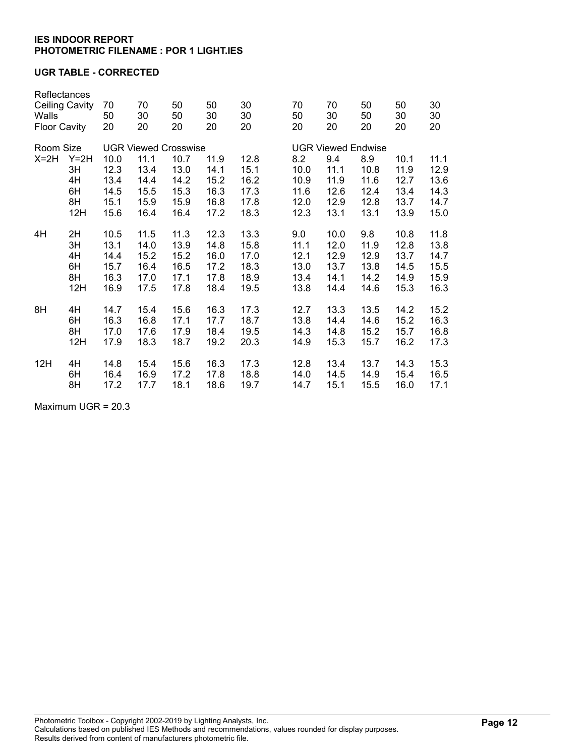### UGR TABLE - CORRECTED

| Reflectances<br><b>Ceiling Cavity</b><br>Walls<br><b>Floor Cavity</b> |        | 70<br>50<br>20              | 70<br>30<br>20 | 50<br>50<br>20 | 50<br>30<br>20 | 30<br>30<br>20 | 70<br>50<br>20 | 70<br>30<br>20            | 50<br>50<br>20 | 50<br>30<br>20 | 30<br>30<br>20 |  |
|-----------------------------------------------------------------------|--------|-----------------------------|----------------|----------------|----------------|----------------|----------------|---------------------------|----------------|----------------|----------------|--|
| Room Size                                                             |        | <b>UGR Viewed Crosswise</b> |                |                |                |                |                | <b>UGR Viewed Endwise</b> |                |                |                |  |
| $X=2H$                                                                | $Y=2H$ | 10.0                        | 11.1           | 10.7           | 11.9           | 12.8           | 8.2            | 9.4                       | 8.9            | 10.1           | 11.1           |  |
|                                                                       | 3H     | 12.3                        | 13.4           | 13.0           | 14.1           | 15.1           | 10.0           | 11.1                      | 10.8           | 11.9           | 12.9           |  |
|                                                                       | 4H     | 13.4                        | 14.4           | 14.2           | 15.2           | 16.2           | 10.9           | 11.9                      | 11.6           | 12.7           | 13.6           |  |
|                                                                       | 6H     | 14.5                        | 15.5           | 15.3           | 16.3           | 17.3           | 11.6           | 12.6                      | 12.4           | 13.4           | 14.3           |  |
|                                                                       | 8H     | 15.1                        | 15.9           | 15.9           | 16.8           | 17.8           | 12.0           | 12.9                      | 12.8           | 13.7           | 14.7           |  |
|                                                                       | 12H    | 15.6                        | 16.4           | 16.4           | 17.2           | 18.3           | 12.3           | 13.1                      | 13.1           | 13.9           | 15.0           |  |
| 4H                                                                    | 2H     | 10.5                        | 11.5           | 11.3           | 12.3           | 13.3           | 9.0            | 10.0                      | 9.8            | 10.8           | 11.8           |  |
|                                                                       | 3H     | 13.1                        | 14.0           | 13.9           | 14.8           | 15.8           | 11.1           | 12.0                      | 11.9           | 12.8           | 13.8           |  |
|                                                                       | 4H     | 14.4                        | 15.2           | 15.2           | 16.0           | 17.0           | 12.1           | 12.9                      | 12.9           | 13.7           | 14.7           |  |
|                                                                       | 6H     | 15.7                        | 16.4           | 16.5           | 17.2           | 18.3           | 13.0           | 13.7                      | 13.8           | 14.5           | 15.5           |  |
|                                                                       | 8H     | 16.3                        | 17.0           | 17.1           | 17.8           | 18.9           | 13.4           | 14.1                      | 14.2           | 14.9           | 15.9           |  |
|                                                                       | 12H    | 16.9                        | 17.5           | 17.8           | 18.4           | 19.5           | 13.8           | 14.4                      | 14.6           | 15.3           | 16.3           |  |
| 8H                                                                    | 4H     | 14.7                        | 15.4           | 15.6           | 16.3           | 17.3           | 12.7           | 13.3                      | 13.5           | 14.2           | 15.2           |  |
|                                                                       | 6H     | 16.3                        | 16.8           | 17.1           | 17.7           | 18.7           | 13.8           | 14.4                      | 14.6           | 15.2           | 16.3           |  |
|                                                                       | 8H     | 17.0                        | 17.6           | 17.9           | 18.4           | 19.5           | 14.3           | 14.8                      | 15.2           | 15.7           | 16.8           |  |
|                                                                       | 12H    | 17.9                        | 18.3           | 18.7           | 19.2           | 20.3           | 14.9           | 15.3                      | 15.7           | 16.2           | 17.3           |  |
| 12H                                                                   | 4H     | 14.8                        | 15.4           | 15.6           | 16.3           | 17.3           | 12.8           | 13.4                      | 13.7           | 14.3           | 15.3           |  |
|                                                                       | 6H     | 16.4                        | 16.9           | 17.2           | 17.8           | 18.8           | 14.0           | 14.5                      | 14.9           | 15.4           | 16.5           |  |
|                                                                       | 8H     | 17.2                        | 17.7           | 18.1           | 18.6           | 19.7           | 14.7           | 15.1                      | 15.5           | 16.0           | 17.1           |  |

Maximum UGR = 20.3